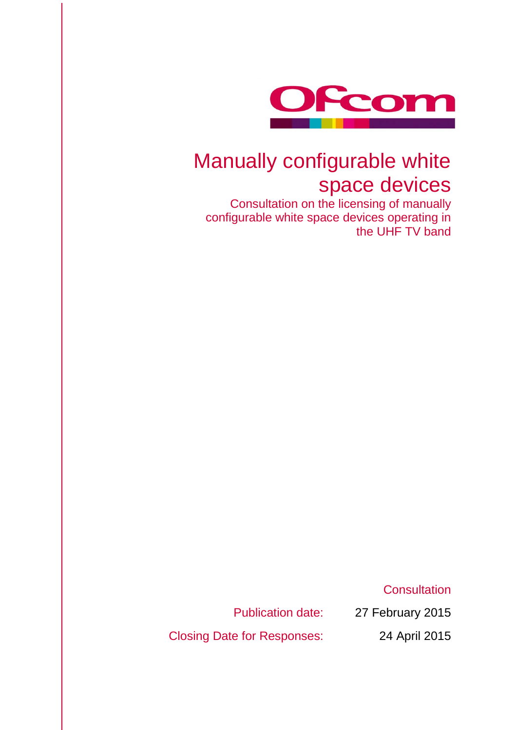

# Manually configurable white space devices

Consultation on the licensing of manually configurable white space devices operating in the UHF TV band

**Consultation** 

Publication date: 27 February 2015

Closing Date for Responses: 24 April 2015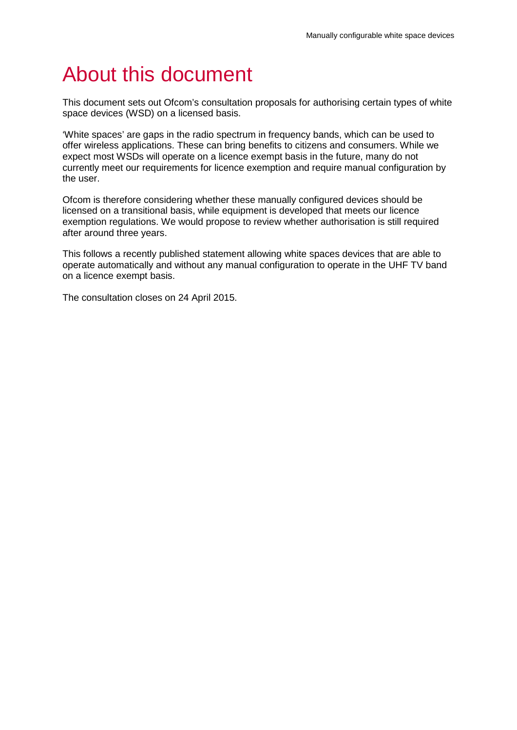# About this document

This document sets out Ofcom's consultation proposals for authorising certain types of white space devices (WSD) on a licensed basis.

'White spaces' are gaps in the radio spectrum in frequency bands, which can be used to offer wireless applications. These can bring benefits to citizens and consumers. While we expect most WSDs will operate on a licence exempt basis in the future, many do not currently meet our requirements for licence exemption and require manual configuration by the user.

Ofcom is therefore considering whether these manually configured devices should be licensed on a transitional basis, while equipment is developed that meets our licence exemption regulations. We would propose to review whether authorisation is still required after around three years.

This follows a recently published statement allowing white spaces devices that are able to operate automatically and without any manual configuration to operate in the UHF TV band on a licence exempt basis.

The consultation closes on 24 April 2015.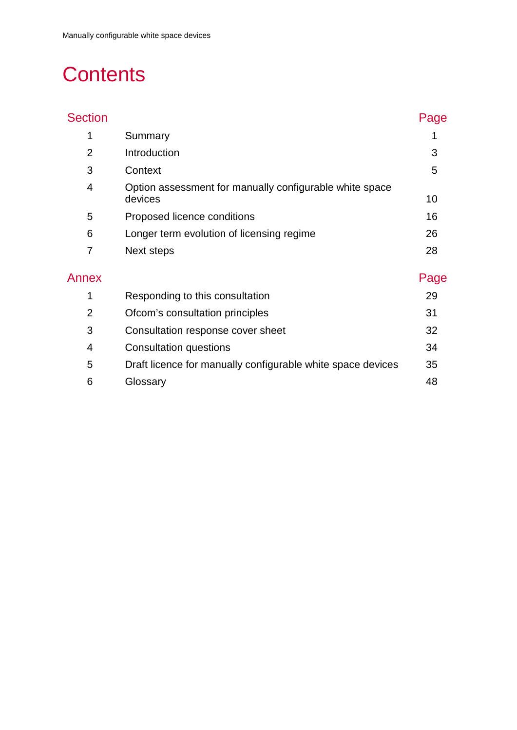# **Contents**

| <b>Section</b> |                                                                    | Page |
|----------------|--------------------------------------------------------------------|------|
| 1              | Summary                                                            |      |
| $\overline{2}$ | Introduction                                                       | 3    |
| 3              | Context                                                            | 5    |
| 4              | Option assessment for manually configurable white space<br>devices | 10   |
| 5              | Proposed licence conditions                                        | 16   |
| 6              | Longer term evolution of licensing regime                          | 26   |
| 7              | Next steps                                                         | 28   |
| Annex          |                                                                    | Page |
| 1              | Responding to this consultation                                    | 29   |
| $\overline{2}$ | Ofcom's consultation principles                                    | 31   |
| 3              | Consultation response cover sheet                                  | 32   |
| 4              | <b>Consultation questions</b>                                      | 34   |
| 5              | Draft licence for manually configurable white space devices        | 35   |
| 6              | Glossary                                                           | 48   |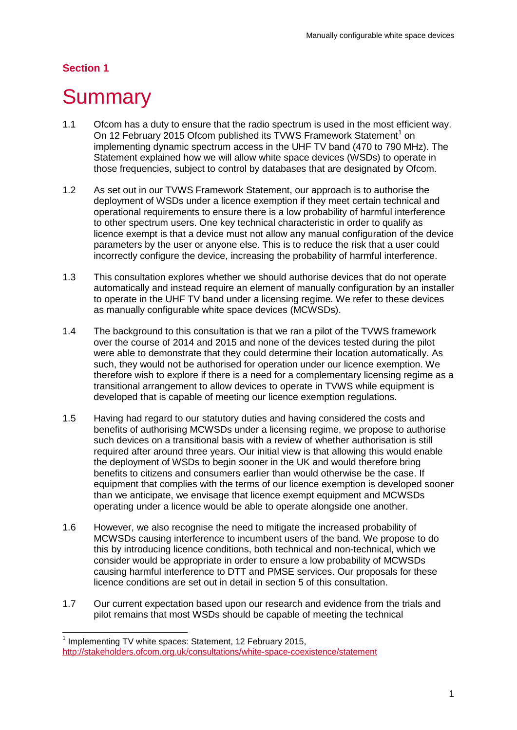## **Section 1**

 $\overline{a}$ 

# <span id="page-3-0"></span>**Summary**

- 1.1 Ofcom has a duty to ensure that the radio spectrum is used in the most efficient way. On [1](#page-3-1)2 February 2015 Ofcom published its TVWS Framework Statement<sup>1</sup> on implementing dynamic spectrum access in the UHF TV band (470 to 790 MHz). The Statement explained how we will allow white space devices (WSDs) to operate in those frequencies, subject to control by databases that are designated by Ofcom.
- 1.2 As set out in our TVWS Framework Statement, our approach is to authorise the deployment of WSDs under a licence exemption if they meet certain technical and operational requirements to ensure there is a low probability of harmful interference to other spectrum users. One key technical characteristic in order to qualify as licence exempt is that a device must not allow any manual configuration of the device parameters by the user or anyone else. This is to reduce the risk that a user could incorrectly configure the device, increasing the probability of harmful interference.
- 1.3 This consultation explores whether we should authorise devices that do not operate automatically and instead require an element of manually configuration by an installer to operate in the UHF TV band under a licensing regime. We refer to these devices as manually configurable white space devices (MCWSDs).
- 1.4 The background to this consultation is that we ran a pilot of the TVWS framework over the course of 2014 and 2015 and none of the devices tested during the pilot were able to demonstrate that they could determine their location automatically. As such, they would not be authorised for operation under our licence exemption. We therefore wish to explore if there is a need for a complementary licensing regime as a transitional arrangement to allow devices to operate in TVWS while equipment is developed that is capable of meeting our licence exemption regulations.
- 1.5 Having had regard to our statutory duties and having considered the costs and benefits of authorising MCWSDs under a licensing regime, we propose to authorise such devices on a transitional basis with a review of whether authorisation is still required after around three years. Our initial view is that allowing this would enable the deployment of WSDs to begin sooner in the UK and would therefore bring benefits to citizens and consumers earlier than would otherwise be the case. If equipment that complies with the terms of our licence exemption is developed sooner than we anticipate, we envisage that licence exempt equipment and MCWSDs operating under a licence would be able to operate alongside one another.
- 1.6 However, we also recognise the need to mitigate the increased probability of MCWSDs causing interference to incumbent users of the band. We propose to do this by introducing licence conditions, both technical and non-technical, which we consider would be appropriate in order to ensure a low probability of MCWSDs causing harmful interference to DTT and PMSE services. Our proposals for these licence conditions are set out in detail in section 5 of this consultation.
- 1.7 Our current expectation based upon our research and evidence from the trials and pilot remains that most WSDs should be capable of meeting the technical

 $1$  Implementing TV white spaces: Statement, 12 February 2015,

<span id="page-3-1"></span><http://stakeholders.ofcom.org.uk/consultations/white-space-coexistence/statement>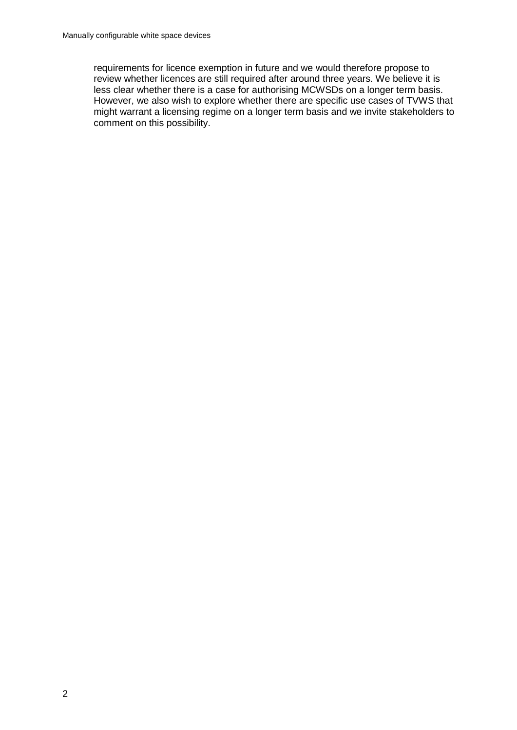requirements for licence exemption in future and we would therefore propose to review whether licences are still required after around three years. We believe it is less clear whether there is a case for authorising MCWSDs on a longer term basis. However, we also wish to explore whether there are specific use cases of TVWS that might warrant a licensing regime on a longer term basis and we invite stakeholders to comment on this possibility.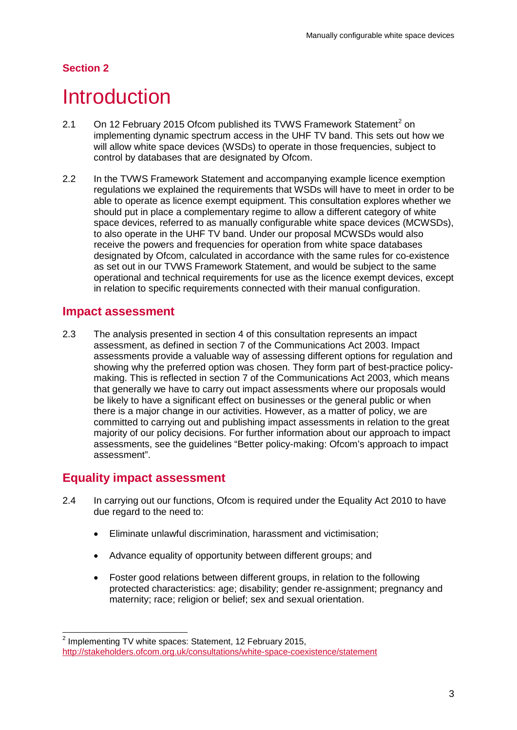## **Section 2**

# <span id="page-5-0"></span>**Introduction**

- [2](#page-5-1).1 On 12 February 2015 Ofcom published its TVWS Framework Statement<sup>2</sup> on implementing dynamic spectrum access in the UHF TV band. This sets out how we will allow white space devices (WSDs) to operate in those frequencies, subject to control by databases that are designated by Ofcom.
- 2.2 In the TVWS Framework Statement and accompanying example licence exemption regulations we explained the requirements that WSDs will have to meet in order to be able to operate as licence exempt equipment. This consultation explores whether we should put in place a complementary regime to allow a different category of white space devices, referred to as manually configurable white space devices (MCWSDs), to also operate in the UHF TV band. Under our proposal MCWSDs would also receive the powers and frequencies for operation from white space databases designated by Ofcom, calculated in accordance with the same rules for co-existence as set out in our TVWS Framework Statement, and would be subject to the same operational and technical requirements for use as the licence exempt devices, except in relation to specific requirements connected with their manual configuration.

## **Impact assessment**

2.3 The analysis presented in section 4 of this consultation represents an impact assessment, as defined in section 7 of the Communications Act 2003. Impact assessments provide a valuable way of assessing different options for regulation and showing why the preferred option was chosen. They form part of best-practice policymaking. This is reflected in section 7 of the Communications Act 2003, which means that generally we have to carry out impact assessments where our proposals would be likely to have a significant effect on businesses or the general public or when there is a major change in our activities. However, as a matter of policy, we are committed to carrying out and publishing impact assessments in relation to the great majority of our policy decisions. For further information about our approach to impact assessments, see the guidelines "Better policy-making: Ofcom's approach to impact assessment".

## **Equality impact assessment**

- 2.4 In carrying out our functions, Ofcom is required under the Equality Act 2010 to have due regard to the need to:
	- Eliminate unlawful discrimination, harassment and victimisation;
	- Advance equality of opportunity between different groups; and
	- Foster good relations between different groups, in relation to the following protected characteristics: age; disability; gender re-assignment; pregnancy and maternity; race; religion or belief; sex and sexual orientation.

<span id="page-5-1"></span> $2$  Implementing TV white spaces: Statement, 12 February 2015, <http://stakeholders.ofcom.org.uk/consultations/white-space-coexistence/statement>  $\overline{a}$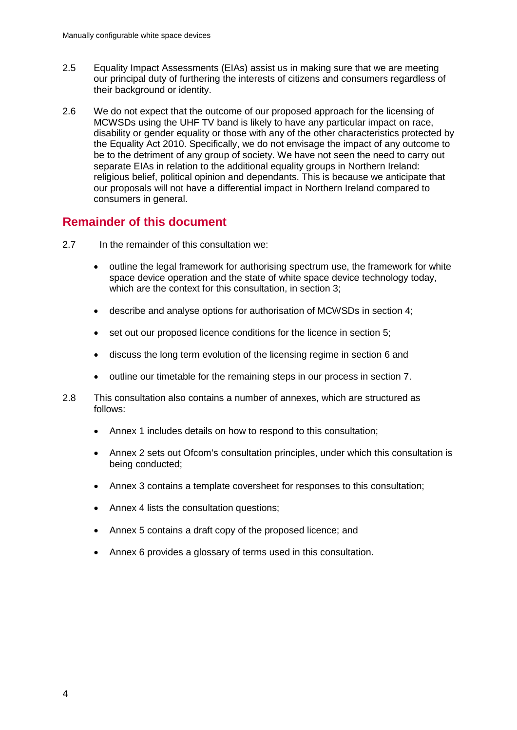- 2.5 Equality Impact Assessments (EIAs) assist us in making sure that we are meeting our principal duty of furthering the interests of citizens and consumers regardless of their background or identity.
- 2.6 We do not expect that the outcome of our proposed approach for the licensing of MCWSDs using the UHF TV band is likely to have any particular impact on race, disability or gender equality or those with any of the other characteristics protected by the Equality Act 2010. Specifically, we do not envisage the impact of any outcome to be to the detriment of any group of society. We have not seen the need to carry out separate EIAs in relation to the additional equality groups in Northern Ireland: religious belief, political opinion and dependants. This is because we anticipate that our proposals will not have a differential impact in Northern Ireland compared to consumers in general.

## **Remainder of this document**

- 2.7 In the remainder of this consultation we:
	- outline the legal framework for authorising spectrum use, the framework for white space device operation and the state of white space device technology today, which are the context for this consultation, in section 3;
	- describe and analyse options for authorisation of MCWSDs in section 4;
	- set out our proposed licence conditions for the licence in section 5;
	- discuss the long term evolution of the licensing regime in section 6 and
	- outline our timetable for the remaining steps in our process in section 7.
- 2.8 This consultation also contains a number of annexes, which are structured as follows:
	- Annex 1 includes details on how to respond to this consultation;
	- Annex 2 sets out Ofcom's consultation principles, under which this consultation is being conducted;
	- Annex 3 contains a template coversheet for responses to this consultation;
	- Annex 4 lists the consultation questions;
	- Annex 5 contains a draft copy of the proposed licence; and
	- Annex 6 provides a glossary of terms used in this consultation.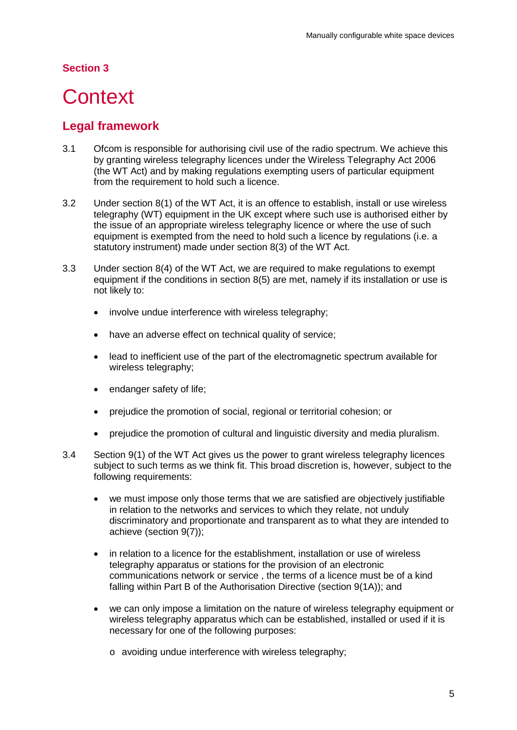## **Section 3**

# <span id="page-7-0"></span>**Context**

# **Legal framework**

- 3.1 Ofcom is responsible for authorising civil use of the radio spectrum. We achieve this by granting wireless telegraphy licences under the Wireless Telegraphy Act 2006 (the WT Act) and by making regulations exempting users of particular equipment from the requirement to hold such a licence.
- 3.2 Under section 8(1) of the WT Act, it is an offence to establish, install or use wireless telegraphy (WT) equipment in the UK except where such use is authorised either by the issue of an appropriate wireless telegraphy licence or where the use of such equipment is exempted from the need to hold such a licence by regulations (i.e. a statutory instrument) made under section 8(3) of the WT Act.
- 3.3 Under section 8(4) of the WT Act, we are required to make regulations to exempt equipment if the conditions in section 8(5) are met, namely if its installation or use is not likely to:
	- involve undue interference with wireless telegraphy;
	- have an adverse effect on technical quality of service;
	- lead to inefficient use of the part of the electromagnetic spectrum available for wireless telegraphy;
	- endanger safety of life;
	- prejudice the promotion of social, regional or territorial cohesion; or
	- prejudice the promotion of cultural and linguistic diversity and media pluralism.
- 3.4 Section 9(1) of the WT Act gives us the power to grant wireless telegraphy licences subject to such terms as we think fit. This broad discretion is, however, subject to the following requirements:
	- we must impose only those terms that we are satisfied are objectively justifiable in relation to the networks and services to which they relate, not unduly discriminatory and proportionate and transparent as to what they are intended to achieve (section 9(7));
	- in relation to a licence for the establishment, installation or use of wireless telegraphy apparatus or stations for the provision of an electronic communications network or service , the terms of a licence must be of a kind falling within Part B of the Authorisation Directive (section 9(1A)); and
	- we can only impose a limitation on the nature of wireless telegraphy equipment or wireless telegraphy apparatus which can be established, installed or used if it is necessary for one of the following purposes:
		- o avoiding undue interference with wireless telegraphy;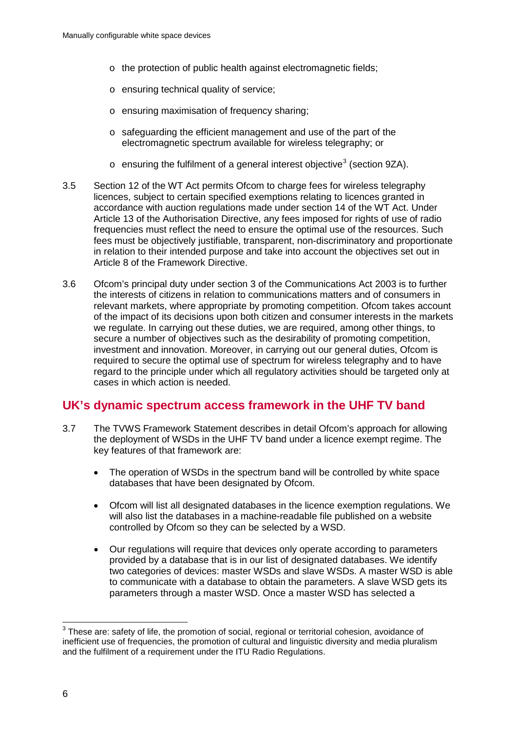- o the protection of public health against electromagnetic fields;
- o ensuring technical quality of service;
- o ensuring maximisation of frequency sharing;
- o safeguarding the efficient management and use of the part of the electromagnetic spectrum available for wireless telegraphy; or
- $\circ$  ensuring the fulfilment of a general interest objective<sup>[3](#page-8-0)</sup> (section 9ZA).
- 3.5 Section 12 of the WT Act permits Ofcom to charge fees for wireless telegraphy licences, subject to certain specified exemptions relating to licences granted in accordance with auction regulations made under section 14 of the WT Act. Under Article 13 of the Authorisation Directive, any fees imposed for rights of use of radio frequencies must reflect the need to ensure the optimal use of the resources. Such fees must be objectively justifiable, transparent, non-discriminatory and proportionate in relation to their intended purpose and take into account the objectives set out in Article 8 of the Framework Directive.
- 3.6 Ofcom's principal duty under section 3 of the Communications Act 2003 is to further the interests of citizens in relation to communications matters and of consumers in relevant markets, where appropriate by promoting competition. Ofcom takes account of the impact of its decisions upon both citizen and consumer interests in the markets we regulate. In carrying out these duties, we are required, among other things, to secure a number of objectives such as the desirability of promoting competition, investment and innovation. Moreover, in carrying out our general duties, Ofcom is required to secure the optimal use of spectrum for wireless telegraphy and to have regard to the principle under which all regulatory activities should be targeted only at cases in which action is needed.

## **UK's dynamic spectrum access framework in the UHF TV band**

- 3.7 The TVWS Framework Statement describes in detail Ofcom's approach for allowing the deployment of WSDs in the UHF TV band under a licence exempt regime. The key features of that framework are:
	- The operation of WSDs in the spectrum band will be controlled by white space databases that have been designated by Ofcom.
	- Ofcom will list all designated databases in the licence exemption regulations. We will also list the databases in a machine-readable file published on a website controlled by Ofcom so they can be selected by a WSD.
	- Our regulations will require that devices only operate according to parameters provided by a database that is in our list of designated databases. We identify two categories of devices: master WSDs and slave WSDs. A master WSD is able to communicate with a database to obtain the parameters. A slave WSD gets its parameters through a master WSD. Once a master WSD has selected a

<span id="page-8-0"></span> $3$  These are: safety of life, the promotion of social, regional or territorial cohesion, avoidance of inefficient use of frequencies, the promotion of cultural and linguistic diversity and media pluralism and the fulfilment of a requirement under the ITU Radio Regulations.  $\overline{a}$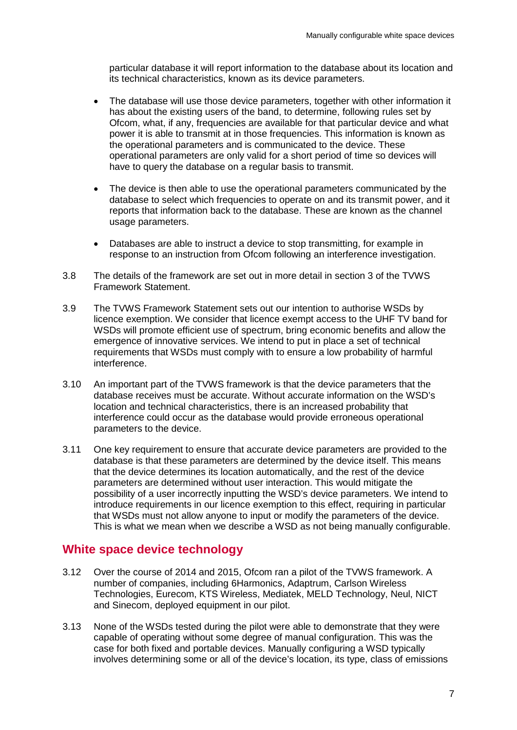particular database it will report information to the database about its location and its technical characteristics, known as its device parameters.

- The database will use those device parameters, together with other information it has about the existing users of the band, to determine, following rules set by Ofcom, what, if any, frequencies are available for that particular device and what power it is able to transmit at in those frequencies. This information is known as the operational parameters and is communicated to the device. These operational parameters are only valid for a short period of time so devices will have to query the database on a regular basis to transmit.
- The device is then able to use the operational parameters communicated by the database to select which frequencies to operate on and its transmit power, and it reports that information back to the database. These are known as the channel usage parameters.
- Databases are able to instruct a device to stop transmitting, for example in response to an instruction from Ofcom following an interference investigation.
- 3.8 The details of the framework are set out in more detail in section 3 of the TVWS Framework Statement.
- 3.9 The TVWS Framework Statement sets out our intention to authorise WSDs by licence exemption. We consider that licence exempt access to the UHF TV band for WSDs will promote efficient use of spectrum, bring economic benefits and allow the emergence of innovative services. We intend to put in place a set of technical requirements that WSDs must comply with to ensure a low probability of harmful interference.
- 3.10 An important part of the TVWS framework is that the device parameters that the database receives must be accurate. Without accurate information on the WSD's location and technical characteristics, there is an increased probability that interference could occur as the database would provide erroneous operational parameters to the device.
- 3.11 One key requirement to ensure that accurate device parameters are provided to the database is that these parameters are determined by the device itself. This means that the device determines its location automatically, and the rest of the device parameters are determined without user interaction. This would mitigate the possibility of a user incorrectly inputting the WSD's device parameters. We intend to introduce requirements in our licence exemption to this effect, requiring in particular that WSDs must not allow anyone to input or modify the parameters of the device. This is what we mean when we describe a WSD as not being manually configurable.

## **White space device technology**

- 3.12 Over the course of 2014 and 2015, Ofcom ran a pilot of the TVWS framework. A number of companies, including 6Harmonics, Adaptrum, Carlson Wireless Technologies, Eurecom, KTS Wireless, Mediatek, MELD Technology, Neul, NICT and Sinecom, deployed equipment in our pilot.
- 3.13 None of the WSDs tested during the pilot were able to demonstrate that they were capable of operating without some degree of manual configuration. This was the case for both fixed and portable devices. Manually configuring a WSD typically involves determining some or all of the device's location, its type, class of emissions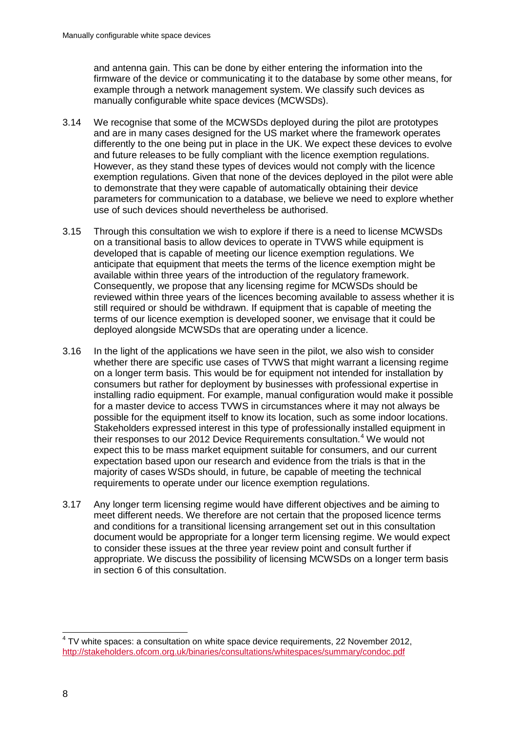and antenna gain. This can be done by either entering the information into the firmware of the device or communicating it to the database by some other means, for example through a network management system. We classify such devices as manually configurable white space devices (MCWSDs).

- 3.14 We recognise that some of the MCWSDs deployed during the pilot are prototypes and are in many cases designed for the US market where the framework operates differently to the one being put in place in the UK. We expect these devices to evolve and future releases to be fully compliant with the licence exemption regulations. However, as they stand these types of devices would not comply with the licence exemption regulations. Given that none of the devices deployed in the pilot were able to demonstrate that they were capable of automatically obtaining their device parameters for communication to a database, we believe we need to explore whether use of such devices should nevertheless be authorised.
- 3.15 Through this consultation we wish to explore if there is a need to license MCWSDs on a transitional basis to allow devices to operate in TVWS while equipment is developed that is capable of meeting our licence exemption regulations. We anticipate that equipment that meets the terms of the licence exemption might be available within three years of the introduction of the regulatory framework. Consequently, we propose that any licensing regime for MCWSDs should be reviewed within three years of the licences becoming available to assess whether it is still required or should be withdrawn. If equipment that is capable of meeting the terms of our licence exemption is developed sooner, we envisage that it could be deployed alongside MCWSDs that are operating under a licence.
- 3.16 In the light of the applications we have seen in the pilot, we also wish to consider whether there are specific use cases of TVWS that might warrant a licensing regime on a longer term basis. This would be for equipment not intended for installation by consumers but rather for deployment by businesses with professional expertise in installing radio equipment. For example, manual configuration would make it possible for a master device to access TVWS in circumstances where it may not always be possible for the equipment itself to know its location, such as some indoor locations. Stakeholders expressed interest in this type of professionally installed equipment in their responses to our 2012 Device Requirements consultation.<sup>[4](#page-10-0)</sup> We would not expect this to be mass market equipment suitable for consumers, and our current expectation based upon our research and evidence from the trials is that in the majority of cases WSDs should, in future, be capable of meeting the technical requirements to operate under our licence exemption regulations.
- 3.17 Any longer term licensing regime would have different objectives and be aiming to meet different needs. We therefore are not certain that the proposed licence terms and conditions for a transitional licensing arrangement set out in this consultation document would be appropriate for a longer term licensing regime. We would expect to consider these issues at the three year review point and consult further if appropriate. We discuss the possibility of licensing MCWSDs on a longer term basis in section 6 of this consultation.

<span id="page-10-0"></span> $4$  TV white spaces: a consultation on white space device requirements, 22 November 2012, <http://stakeholders.ofcom.org.uk/binaries/consultations/whitespaces/summary/condoc.pdf>  $\overline{a}$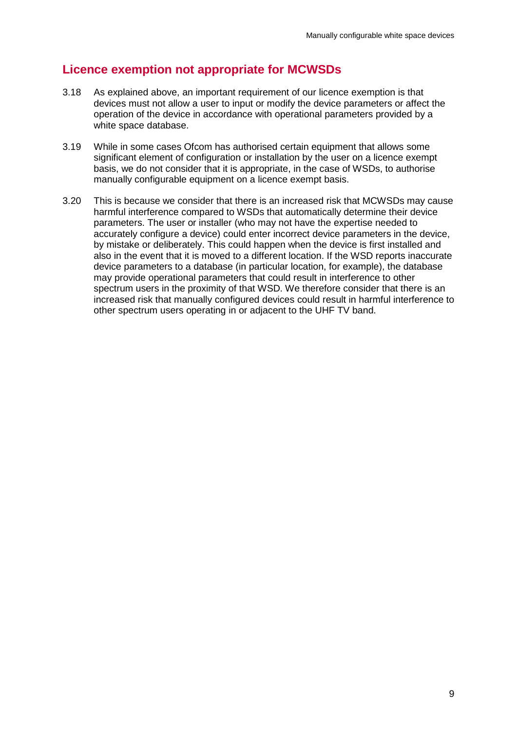## **Licence exemption not appropriate for MCWSDs**

- 3.18 As explained above, an important requirement of our licence exemption is that devices must not allow a user to input or modify the device parameters or affect the operation of the device in accordance with operational parameters provided by a white space database.
- 3.19 While in some cases Ofcom has authorised certain equipment that allows some significant element of configuration or installation by the user on a licence exempt basis, we do not consider that it is appropriate, in the case of WSDs, to authorise manually configurable equipment on a licence exempt basis.
- 3.20 This is because we consider that there is an increased risk that MCWSDs may cause harmful interference compared to WSDs that automatically determine their device parameters. The user or installer (who may not have the expertise needed to accurately configure a device) could enter incorrect device parameters in the device, by mistake or deliberately. This could happen when the device is first installed and also in the event that it is moved to a different location. If the WSD reports inaccurate device parameters to a database (in particular location, for example), the database may provide operational parameters that could result in interference to other spectrum users in the proximity of that WSD. We therefore consider that there is an increased risk that manually configured devices could result in harmful interference to other spectrum users operating in or adjacent to the UHF TV band.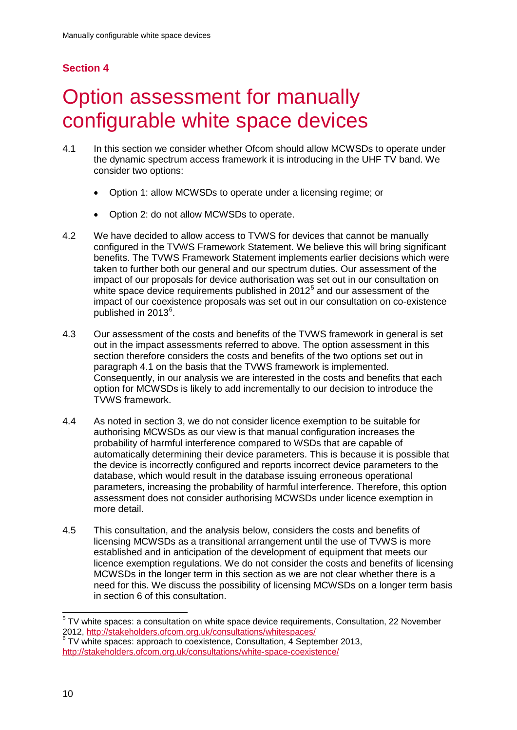## **Section 4**

# <span id="page-12-0"></span>**Option assessment for manually** configurable white space devices

- 4.1 In this section we consider whether Ofcom should allow MCWSDs to operate under the dynamic spectrum access framework it is introducing in the UHF TV band. We consider two options:
	- Option 1: allow MCWSDs to operate under a licensing regime; or
	- Option 2: do not allow MCWSDs to operate.
- 4.2 We have decided to allow access to TVWS for devices that cannot be manually configured in the TVWS Framework Statement. We believe this will bring significant benefits. The TVWS Framework Statement implements earlier decisions which were taken to further both our general and our spectrum duties. Our assessment of the impact of our proposals for device authorisation was set out in our consultation on white space device requirements published in  $2012<sup>5</sup>$  $2012<sup>5</sup>$  $2012<sup>5</sup>$  and our assessment of the impact of our coexistence proposals was set out in our consultation on co-existence published in 2013<sup>[6](#page-12-2)</sup>.
- 4.3 Our assessment of the costs and benefits of the TVWS framework in general is set out in the impact assessments referred to above. The option assessment in this section therefore considers the costs and benefits of the two options set out in paragraph 4.1 on the basis that the TVWS framework is implemented. Consequently, in our analysis we are interested in the costs and benefits that each option for MCWSDs is likely to add incrementally to our decision to introduce the TVWS framework.
- 4.4 As noted in section 3, we do not consider licence exemption to be suitable for authorising MCWSDs as our view is that manual configuration increases the probability of harmful interference compared to WSDs that are capable of automatically determining their device parameters. This is because it is possible that the device is incorrectly configured and reports incorrect device parameters to the database, which would result in the database issuing erroneous operational parameters, increasing the probability of harmful interference. Therefore, this option assessment does not consider authorising MCWSDs under licence exemption in more detail.
- 4.5 This consultation, and the analysis below, considers the costs and benefits of licensing MCWSDs as a transitional arrangement until the use of TVWS is more established and in anticipation of the development of equipment that meets our licence exemption regulations. We do not consider the costs and benefits of licensing MCWSDs in the longer term in this section as we are not clear whether there is a need for this. We discuss the possibility of licensing MCWSDs on a longer term basis in section 6 of this consultation.

<span id="page-12-1"></span> $5$  TV white spaces: a consultation on white space device requirements, Consultation, 22 November 2012,<http://stakeholders.ofcom.org.uk/consultations/whitespaces/><br><sup>6</sup> TV white spaces: approach to coexistence, Consultation, 4 September 2013,  $\overline{a}$ 

<span id="page-12-2"></span><http://stakeholders.ofcom.org.uk/consultations/white-space-coexistence/>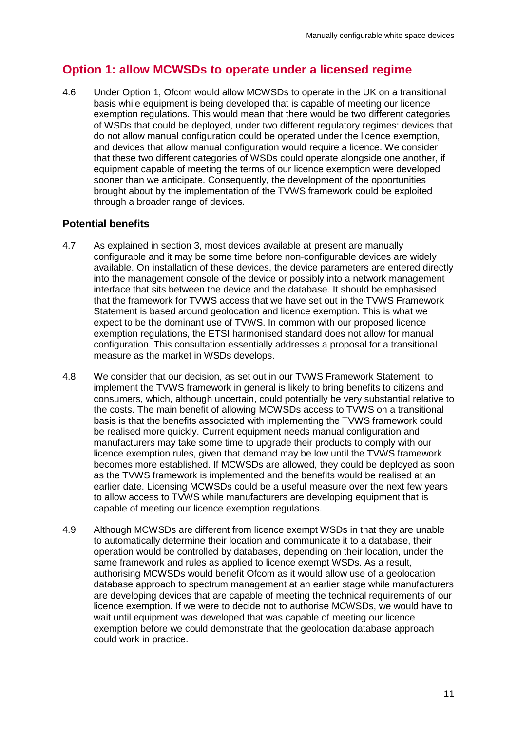## **Option 1: allow MCWSDs to operate under a licensed regime**

4.6 Under Option 1, Ofcom would allow MCWSDs to operate in the UK on a transitional basis while equipment is being developed that is capable of meeting our licence exemption regulations. This would mean that there would be two different categories of WSDs that could be deployed, under two different regulatory regimes: devices that do not allow manual configuration could be operated under the licence exemption, and devices that allow manual configuration would require a licence. We consider that these two different categories of WSDs could operate alongside one another, if equipment capable of meeting the terms of our licence exemption were developed sooner than we anticipate. Consequently, the development of the opportunities brought about by the implementation of the TVWS framework could be exploited through a broader range of devices.

### **Potential benefits**

- 4.7 As explained in section 3, most devices available at present are manually configurable and it may be some time before non-configurable devices are widely available. On installation of these devices, the device parameters are entered directly into the management console of the device or possibly into a network management interface that sits between the device and the database. It should be emphasised that the framework for TVWS access that we have set out in the TVWS Framework Statement is based around geolocation and licence exemption. This is what we expect to be the dominant use of TVWS. In common with our proposed licence exemption regulations, the ETSI harmonised standard does not allow for manual configuration. This consultation essentially addresses a proposal for a transitional measure as the market in WSDs develops.
- 4.8 We consider that our decision, as set out in our TVWS Framework Statement, to implement the TVWS framework in general is likely to bring benefits to citizens and consumers, which, although uncertain, could potentially be very substantial relative to the costs. The main benefit of allowing MCWSDs access to TVWS on a transitional basis is that the benefits associated with implementing the TVWS framework could be realised more quickly. Current equipment needs manual configuration and manufacturers may take some time to upgrade their products to comply with our licence exemption rules, given that demand may be low until the TVWS framework becomes more established. If MCWSDs are allowed, they could be deployed as soon as the TVWS framework is implemented and the benefits would be realised at an earlier date. Licensing MCWSDs could be a useful measure over the next few years to allow access to TVWS while manufacturers are developing equipment that is capable of meeting our licence exemption regulations.
- 4.9 Although MCWSDs are different from licence exempt WSDs in that they are unable to automatically determine their location and communicate it to a database, their operation would be controlled by databases, depending on their location, under the same framework and rules as applied to licence exempt WSDs. As a result, authorising MCWSDs would benefit Ofcom as it would allow use of a geolocation database approach to spectrum management at an earlier stage while manufacturers are developing devices that are capable of meeting the technical requirements of our licence exemption. If we were to decide not to authorise MCWSDs, we would have to wait until equipment was developed that was capable of meeting our licence exemption before we could demonstrate that the geolocation database approach could work in practice.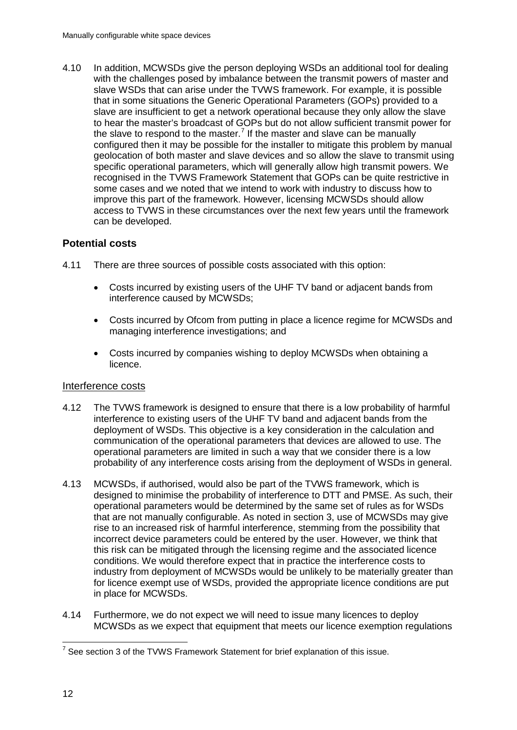4.10 In addition, MCWSDs give the person deploying WSDs an additional tool for dealing with the challenges posed by imbalance between the transmit powers of master and slave WSDs that can arise under the TVWS framework. For example, it is possible that in some situations the Generic Operational Parameters (GOPs) provided to a slave are insufficient to get a network operational because they only allow the slave to hear the master's broadcast of GOPs but do not allow sufficient transmit power for the slave to respond to the master.<sup>[7](#page-14-0)</sup> If the master and slave can be manually configured then it may be possible for the installer to mitigate this problem by manual geolocation of both master and slave devices and so allow the slave to transmit using specific operational parameters, which will generally allow high transmit powers. We recognised in the TVWS Framework Statement that GOPs can be quite restrictive in some cases and we noted that we intend to work with industry to discuss how to improve this part of the framework. However, licensing MCWSDs should allow access to TVWS in these circumstances over the next few years until the framework can be developed.

### **Potential costs**

- 4.11 There are three sources of possible costs associated with this option:
	- Costs incurred by existing users of the UHF TV band or adjacent bands from interference caused by MCWSDs;
	- Costs incurred by Ofcom from putting in place a licence regime for MCWSDs and managing interference investigations; and
	- Costs incurred by companies wishing to deploy MCWSDs when obtaining a licence.

### Interference costs

- 4.12 The TVWS framework is designed to ensure that there is a low probability of harmful interference to existing users of the UHF TV band and adjacent bands from the deployment of WSDs. This objective is a key consideration in the calculation and communication of the operational parameters that devices are allowed to use. The operational parameters are limited in such a way that we consider there is a low probability of any interference costs arising from the deployment of WSDs in general.
- 4.13 MCWSDs, if authorised, would also be part of the TVWS framework, which is designed to minimise the probability of interference to DTT and PMSE. As such, their operational parameters would be determined by the same set of rules as for WSDs that are not manually configurable. As noted in section 3, use of MCWSDs may give rise to an increased risk of harmful interference, stemming from the possibility that incorrect device parameters could be entered by the user. However, we think that this risk can be mitigated through the licensing regime and the associated licence conditions. We would therefore expect that in practice the interference costs to industry from deployment of MCWSDs would be unlikely to be materially greater than for licence exempt use of WSDs, provided the appropriate licence conditions are put in place for MCWSDs.
- 4.14 Furthermore, we do not expect we will need to issue many licences to deploy MCWSDs as we expect that equipment that meets our licence exemption regulations

<span id="page-14-0"></span> $7$  See section 3 of the TVWS Framework Statement for brief explanation of this issue.  $\overline{a}$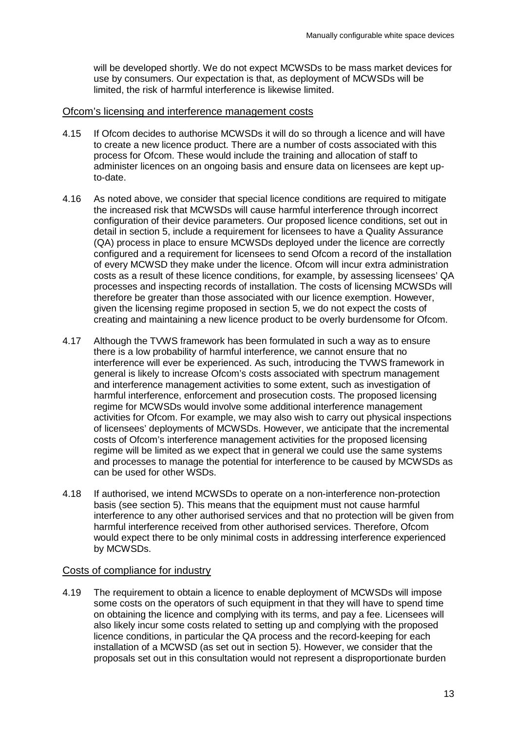will be developed shortly. We do not expect MCWSDs to be mass market devices for use by consumers. Our expectation is that, as deployment of MCWSDs will be limited, the risk of harmful interference is likewise limited.

#### Ofcom's licensing and interference management costs

- 4.15 If Ofcom decides to authorise MCWSDs it will do so through a licence and will have to create a new licence product. There are a number of costs associated with this process for Ofcom. These would include the training and allocation of staff to administer licences on an ongoing basis and ensure data on licensees are kept upto-date.
- 4.16 As noted above, we consider that special licence conditions are required to mitigate the increased risk that MCWSDs will cause harmful interference through incorrect configuration of their device parameters. Our proposed licence conditions, set out in detail in section 5, include a requirement for licensees to have a Quality Assurance (QA) process in place to ensure MCWSDs deployed under the licence are correctly configured and a requirement for licensees to send Ofcom a record of the installation of every MCWSD they make under the licence. Ofcom will incur extra administration costs as a result of these licence conditions, for example, by assessing licensees' QA processes and inspecting records of installation. The costs of licensing MCWSDs will therefore be greater than those associated with our licence exemption. However, given the licensing regime proposed in section 5, we do not expect the costs of creating and maintaining a new licence product to be overly burdensome for Ofcom.
- 4.17 Although the TVWS framework has been formulated in such a way as to ensure there is a low probability of harmful interference, we cannot ensure that no interference will ever be experienced. As such, introducing the TVWS framework in general is likely to increase Ofcom's costs associated with spectrum management and interference management activities to some extent, such as investigation of harmful interference, enforcement and prosecution costs. The proposed licensing regime for MCWSDs would involve some additional interference management activities for Ofcom. For example, we may also wish to carry out physical inspections of licensees' deployments of MCWSDs. However, we anticipate that the incremental costs of Ofcom's interference management activities for the proposed licensing regime will be limited as we expect that in general we could use the same systems and processes to manage the potential for interference to be caused by MCWSDs as can be used for other WSDs.
- 4.18 If authorised, we intend MCWSDs to operate on a non-interference non-protection basis (see section 5). This means that the equipment must not cause harmful interference to any other authorised services and that no protection will be given from harmful interference received from other authorised services. Therefore, Ofcom would expect there to be only minimal costs in addressing interference experienced by MCWSDs.

### Costs of compliance for industry

4.19 The requirement to obtain a licence to enable deployment of MCWSDs will impose some costs on the operators of such equipment in that they will have to spend time on obtaining the licence and complying with its terms, and pay a fee. Licensees will also likely incur some costs related to setting up and complying with the proposed licence conditions, in particular the QA process and the record-keeping for each installation of a MCWSD (as set out in section 5). However, we consider that the proposals set out in this consultation would not represent a disproportionate burden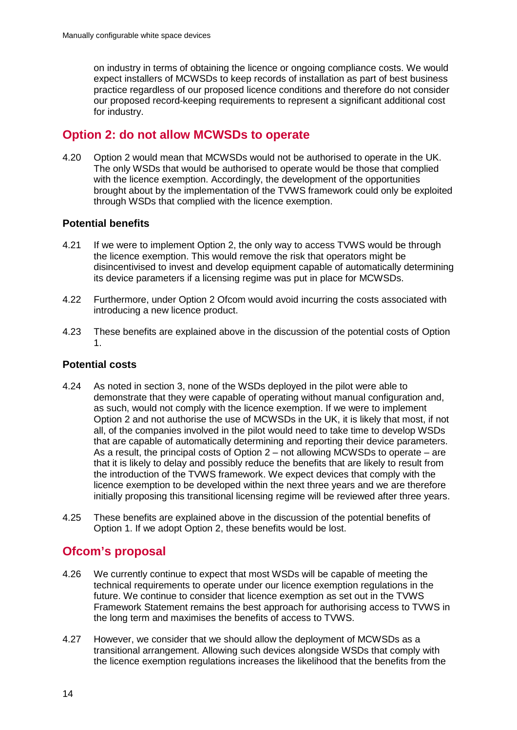on industry in terms of obtaining the licence or ongoing compliance costs. We would expect installers of MCWSDs to keep records of installation as part of best business practice regardless of our proposed licence conditions and therefore do not consider our proposed record-keeping requirements to represent a significant additional cost for industry.

## **Option 2: do not allow MCWSDs to operate**

4.20 Option 2 would mean that MCWSDs would not be authorised to operate in the UK. The only WSDs that would be authorised to operate would be those that complied with the licence exemption. Accordingly, the development of the opportunities brought about by the implementation of the TVWS framework could only be exploited through WSDs that complied with the licence exemption.

### **Potential benefits**

- 4.21 If we were to implement Option 2, the only way to access TVWS would be through the licence exemption. This would remove the risk that operators might be disincentivised to invest and develop equipment capable of automatically determining its device parameters if a licensing regime was put in place for MCWSDs.
- 4.22 Furthermore, under Option 2 Ofcom would avoid incurring the costs associated with introducing a new licence product.
- 4.23 These benefits are explained above in the discussion of the potential costs of Option 1.

### **Potential costs**

- 4.24 As noted in section 3, none of the WSDs deployed in the pilot were able to demonstrate that they were capable of operating without manual configuration and, as such, would not comply with the licence exemption. If we were to implement Option 2 and not authorise the use of MCWSDs in the UK, it is likely that most, if not all, of the companies involved in the pilot would need to take time to develop WSDs that are capable of automatically determining and reporting their device parameters. As a result, the principal costs of Option 2 – not allowing MCWSDs to operate – are that it is likely to delay and possibly reduce the benefits that are likely to result from the introduction of the TVWS framework. We expect devices that comply with the licence exemption to be developed within the next three years and we are therefore initially proposing this transitional licensing regime will be reviewed after three years.
- 4.25 These benefits are explained above in the discussion of the potential benefits of Option 1. If we adopt Option 2, these benefits would be lost.

## **Ofcom's proposal**

- 4.26 We currently continue to expect that most WSDs will be capable of meeting the technical requirements to operate under our licence exemption regulations in the future. We continue to consider that licence exemption as set out in the TVWS Framework Statement remains the best approach for authorising access to TVWS in the long term and maximises the benefits of access to TVWS.
- 4.27 However, we consider that we should allow the deployment of MCWSDs as a transitional arrangement. Allowing such devices alongside WSDs that comply with the licence exemption regulations increases the likelihood that the benefits from the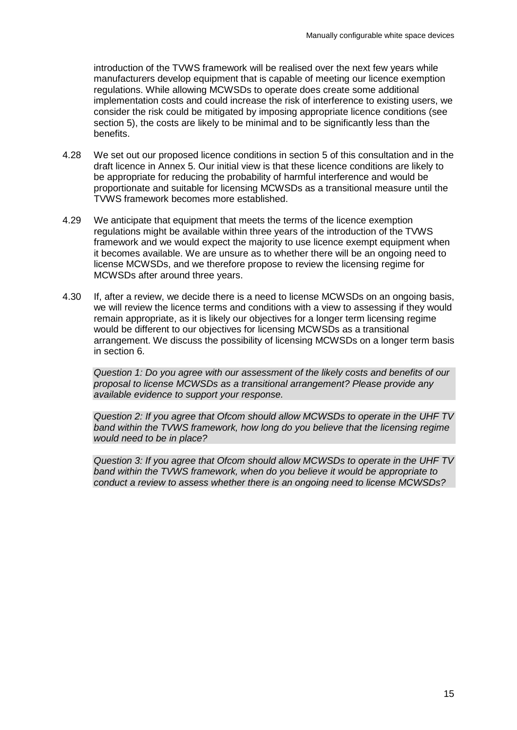introduction of the TVWS framework will be realised over the next few years while manufacturers develop equipment that is capable of meeting our licence exemption regulations. While allowing MCWSDs to operate does create some additional implementation costs and could increase the risk of interference to existing users, we consider the risk could be mitigated by imposing appropriate licence conditions (see section 5), the costs are likely to be minimal and to be significantly less than the benefits.

- 4.28 We set out our proposed licence conditions in section 5 of this consultation and in the draft licence in Annex 5. Our initial view is that these licence conditions are likely to be appropriate for reducing the probability of harmful interference and would be proportionate and suitable for licensing MCWSDs as a transitional measure until the TVWS framework becomes more established.
- 4.29 We anticipate that equipment that meets the terms of the licence exemption regulations might be available within three years of the introduction of the TVWS framework and we would expect the majority to use licence exempt equipment when it becomes available. We are unsure as to whether there will be an ongoing need to license MCWSDs, and we therefore propose to review the licensing regime for MCWSDs after around three years.
- 4.30 If, after a review, we decide there is a need to license MCWSDs on an ongoing basis, we will review the licence terms and conditions with a view to assessing if they would remain appropriate, as it is likely our objectives for a longer term licensing regime would be different to our objectives for licensing MCWSDs as a transitional arrangement. We discuss the possibility of licensing MCWSDs on a longer term basis in section 6.

*Question 1: Do you agree with our assessment of the likely costs and benefits of our proposal to license MCWSDs as a transitional arrangement? Please provide any available evidence to support your response.*

*Question 2: If you agree that Ofcom should allow MCWSDs to operate in the UHF TV* band within the TVWS framework, how long do you believe that the licensing regime *would need to be in place?* 

*Question 3: If you agree that Ofcom should allow MCWSDs to operate in the UHF TV band within the TVWS framework, when do you believe it would be appropriate to conduct a review to assess whether there is an ongoing need to license MCWSDs?*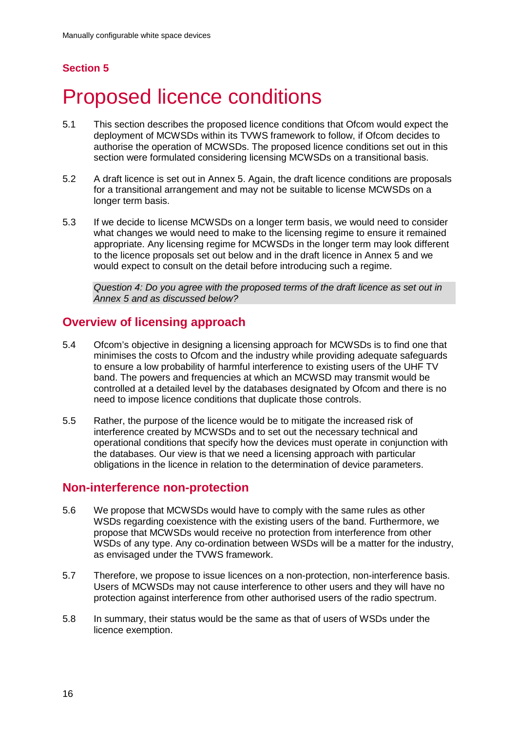## **Section 5**

# <span id="page-18-0"></span>5 Proposed licence conditions

- 5.1 This section describes the proposed licence conditions that Ofcom would expect the deployment of MCWSDs within its TVWS framework to follow, if Ofcom decides to authorise the operation of MCWSDs. The proposed licence conditions set out in this section were formulated considering licensing MCWSDs on a transitional basis.
- 5.2 A draft licence is set out in Annex 5. Again, the draft licence conditions are proposals for a transitional arrangement and may not be suitable to license MCWSDs on a longer term basis.
- 5.3 If we decide to license MCWSDs on a longer term basis, we would need to consider what changes we would need to make to the licensing regime to ensure it remained appropriate. Any licensing regime for MCWSDs in the longer term may look different to the licence proposals set out below and in the draft licence in Annex 5 and we would expect to consult on the detail before introducing such a regime.

*Question 4: Do you agree with the proposed terms of the draft licence as set out in Annex 5 and as discussed below?*

## **Overview of licensing approach**

- 5.4 Ofcom's objective in designing a licensing approach for MCWSDs is to find one that minimises the costs to Ofcom and the industry while providing adequate safeguards to ensure a low probability of harmful interference to existing users of the UHF TV band. The powers and frequencies at which an MCWSD may transmit would be controlled at a detailed level by the databases designated by Ofcom and there is no need to impose licence conditions that duplicate those controls.
- 5.5 Rather, the purpose of the licence would be to mitigate the increased risk of interference created by MCWSDs and to set out the necessary technical and operational conditions that specify how the devices must operate in conjunction with the databases. Our view is that we need a licensing approach with particular obligations in the licence in relation to the determination of device parameters.

## **Non-interference non-protection**

- 5.6 We propose that MCWSDs would have to comply with the same rules as other WSDs regarding coexistence with the existing users of the band. Furthermore, we propose that MCWSDs would receive no protection from interference from other WSDs of any type. Any co-ordination between WSDs will be a matter for the industry, as envisaged under the TVWS framework.
- 5.7 Therefore, we propose to issue licences on a non-protection, non-interference basis. Users of MCWSDs may not cause interference to other users and they will have no protection against interference from other authorised users of the radio spectrum.
- 5.8 In summary, their status would be the same as that of users of WSDs under the licence exemption.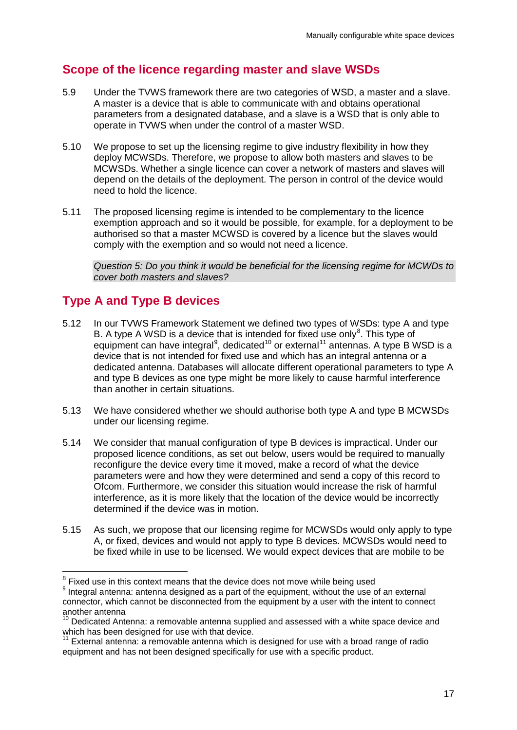# **Scope of the licence regarding master and slave WSDs**

- 5.9 Under the TVWS framework there are two categories of WSD, a master and a slave. A master is a device that is able to communicate with and obtains operational parameters from a designated database, and a slave is a WSD that is only able to operate in TVWS when under the control of a master WSD.
- 5.10 We propose to set up the licensing regime to give industry flexibility in how they deploy MCWSDs. Therefore, we propose to allow both masters and slaves to be MCWSDs. Whether a single licence can cover a network of masters and slaves will depend on the details of the deployment. The person in control of the device would need to hold the licence.
- 5.11 The proposed licensing regime is intended to be complementary to the licence exemption approach and so it would be possible, for example, for a deployment to be authorised so that a master MCWSD is covered by a licence but the slaves would comply with the exemption and so would not need a licence.

*Question 5: Do you think it would be beneficial for the licensing regime for MCWDs to cover both masters and slaves?* 

# **Type A and Type B devices**

- 5.12 In our TVWS Framework Statement we defined two types of WSDs: type A and type B. A type A WSD is a device that is intended for fixed use only $^8$  $^8$ . This type of equipment can have integral<sup>[9](#page-19-1)</sup>, dedicated<sup>[10](#page-19-2)</sup> or external<sup>[11](#page-19-3)</sup> antennas. A type B WSD is a device that is not intended for fixed use and which has an integral antenna or a dedicated antenna. Databases will allocate different operational parameters to type A and type B devices as one type might be more likely to cause harmful interference than another in certain situations.
- 5.13 We have considered whether we should authorise both type A and type B MCWSDs under our licensing regime.
- 5.14 We consider that manual configuration of type B devices is impractical. Under our proposed licence conditions, as set out below, users would be required to manually reconfigure the device every time it moved, make a record of what the device parameters were and how they were determined and send a copy of this record to Ofcom. Furthermore, we consider this situation would increase the risk of harmful interference, as it is more likely that the location of the device would be incorrectly determined if the device was in motion.
- 5.15 As such, we propose that our licensing regime for MCWSDs would only apply to type A, or fixed, devices and would not apply to type B devices. MCWSDs would need to be fixed while in use to be licensed. We would expect devices that are mobile to be

<span id="page-19-0"></span><sup>&</sup>lt;sup>8</sup> Fixed use in this context means that the device does not move while being used

<span id="page-19-1"></span> $9$  Integral antenna: antenna designed as a part of the equipment, without the use of an external connector, which cannot be disconnected from the equipment by a user with the intent to connect another antenna

<span id="page-19-2"></span><sup>10</sup> Dedicated Antenna: a removable antenna supplied and assessed with a white space device and which has been designed for use with that device.

<span id="page-19-3"></span> $11$  External antenna:  $\tilde{a}$  removable antenna which is designed for use with a broad range of radio equipment and has not been designed specifically for use with a specific product.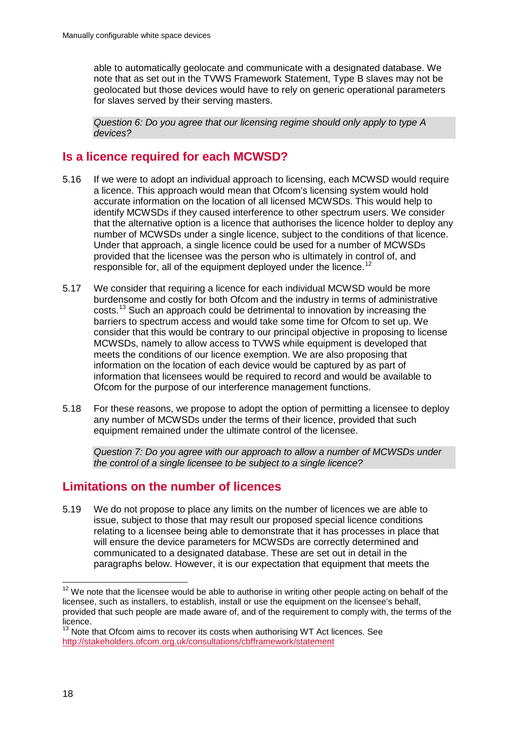able to automatically geolocate and communicate with a designated database. We note that as set out in the TVWS Framework Statement, Type B slaves may not be geolocated but those devices would have to rely on generic operational parameters for slaves served by their serving masters.

*Question 6: Do you agree that our licensing regime should only apply to type A devices?* 

## **Is a licence required for each MCWSD?**

- 5.16 If we were to adopt an individual approach to licensing, each MCWSD would require a licence. This approach would mean that Ofcom's licensing system would hold accurate information on the location of all licensed MCWSDs. This would help to identify MCWSDs if they caused interference to other spectrum users. We consider that the alternative option is a licence that authorises the licence holder to deploy any number of MCWSDs under a single licence, subject to the conditions of that licence. Under that approach, a single licence could be used for a number of MCWSDs provided that the licensee was the person who is ultimately in control of, and responsible for, all of the equipment deployed under the licence.<sup>[12](#page-20-0)</sup>
- 5.17 We consider that requiring a licence for each individual MCWSD would be more burdensome and costly for both Ofcom and the industry in terms of administrative costs. [13](#page-20-1) Such an approach could be detrimental to innovation by increasing the barriers to spectrum access and would take some time for Ofcom to set up. We consider that this would be contrary to our principal objective in proposing to license MCWSDs, namely to allow access to TVWS while equipment is developed that meets the conditions of our licence exemption. We are also proposing that information on the location of each device would be captured by as part of information that licensees would be required to record and would be available to Ofcom for the purpose of our interference management functions.
- 5.18 For these reasons, we propose to adopt the option of permitting a licensee to deploy any number of MCWSDs under the terms of their licence, provided that such equipment remained under the ultimate control of the licensee.

*Question 7: Do you agree with our approach to allow a number of MCWSDs under the control of a single licensee to be subject to a single licence?*

## **Limitations on the number of licences**

5.19 We do not propose to place any limits on the number of licences we are able to issue, subject to those that may result our proposed special licence conditions relating to a licensee being able to demonstrate that it has processes in place that will ensure the device parameters for MCWSDs are correctly determined and communicated to a designated database. These are set out in detail in the paragraphs below. However, it is our expectation that equipment that meets the

<span id="page-20-0"></span> $12$  We note that the licensee would be able to authorise in writing other people acting on behalf of the licensee, such as installers, to establish, install or use the equipment on the licensee's behalf, provided that such people are made aware of, and of the requirement to comply with, the terms of the licence.  $\overline{a}$ 

<span id="page-20-1"></span> $13$  Note that Ofcom aims to recover its costs when authorising WT Act licences. See <http://stakeholders.ofcom.org.uk/consultations/cbfframework/statement>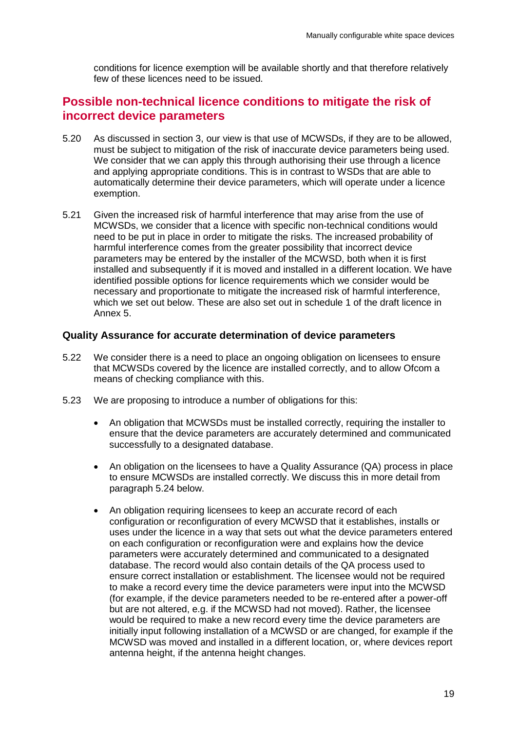conditions for licence exemption will be available shortly and that therefore relatively few of these licences need to be issued.

## **Possible non-technical licence conditions to mitigate the risk of incorrect device parameters**

- 5.20 As discussed in section 3, our view is that use of MCWSDs, if they are to be allowed, must be subject to mitigation of the risk of inaccurate device parameters being used. We consider that we can apply this through authorising their use through a licence and applying appropriate conditions. This is in contrast to WSDs that are able to automatically determine their device parameters, which will operate under a licence exemption.
- 5.21 Given the increased risk of harmful interference that may arise from the use of MCWSDs, we consider that a licence with specific non-technical conditions would need to be put in place in order to mitigate the risks. The increased probability of harmful interference comes from the greater possibility that incorrect device parameters may be entered by the installer of the MCWSD, both when it is first installed and subsequently if it is moved and installed in a different location. We have identified possible options for licence requirements which we consider would be necessary and proportionate to mitigate the increased risk of harmful interference, which we set out below. These are also set out in schedule 1 of the draft licence in Annex 5.

### **Quality Assurance for accurate determination of device parameters**

- 5.22 We consider there is a need to place an ongoing obligation on licensees to ensure that MCWSDs covered by the licence are installed correctly, and to allow Ofcom a means of checking compliance with this.
- 5.23 We are proposing to introduce a number of obligations for this:
	- An obligation that MCWSDs must be installed correctly, requiring the installer to ensure that the device parameters are accurately determined and communicated successfully to a designated database.
	- An obligation on the licensees to have a Quality Assurance (QA) process in place to ensure MCWSDs are installed correctly. We discuss this in more detail from paragraph [5.24](#page-22-0) below.
	- An obligation requiring licensees to keep an accurate record of each configuration or reconfiguration of every MCWSD that it establishes, installs or uses under the licence in a way that sets out what the device parameters entered on each configuration or reconfiguration were and explains how the device parameters were accurately determined and communicated to a designated database. The record would also contain details of the QA process used to ensure correct installation or establishment. The licensee would not be required to make a record every time the device parameters were input into the MCWSD (for example, if the device parameters needed to be re-entered after a power-off but are not altered, e.g. if the MCWSD had not moved). Rather, the licensee would be required to make a new record every time the device parameters are initially input following installation of a MCWSD or are changed, for example if the MCWSD was moved and installed in a different location, or, where devices report antenna height, if the antenna height changes.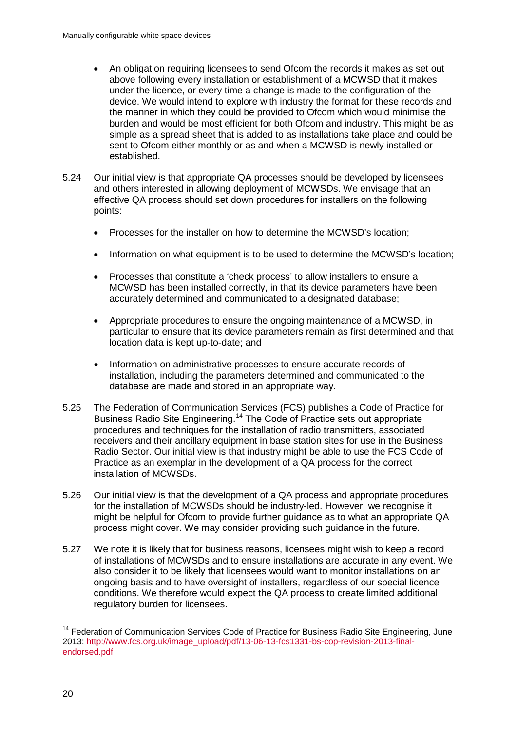- An obligation requiring licensees to send Ofcom the records it makes as set out above following every installation or establishment of a MCWSD that it makes under the licence, or every time a change is made to the configuration of the device. We would intend to explore with industry the format for these records and the manner in which they could be provided to Ofcom which would minimise the burden and would be most efficient for both Ofcom and industry. This might be as simple as a spread sheet that is added to as installations take place and could be sent to Ofcom either monthly or as and when a MCWSD is newly installed or established.
- <span id="page-22-0"></span>5.24 Our initial view is that appropriate QA processes should be developed by licensees and others interested in allowing deployment of MCWSDs. We envisage that an effective QA process should set down procedures for installers on the following points:
	- Processes for the installer on how to determine the MCWSD's location;
	- Information on what equipment is to be used to determine the MCWSD's location;
	- Processes that constitute a 'check process' to allow installers to ensure a MCWSD has been installed correctly, in that its device parameters have been accurately determined and communicated to a designated database;
	- Appropriate procedures to ensure the ongoing maintenance of a MCWSD, in particular to ensure that its device parameters remain as first determined and that location data is kept up-to-date; and
	- Information on administrative processes to ensure accurate records of installation, including the parameters determined and communicated to the database are made and stored in an appropriate way.
- 5.25 The Federation of Communication Services (FCS) publishes a Code of Practice for Business Radio Site Engineering.[14](#page-22-1) The Code of Practice sets out appropriate procedures and techniques for the installation of radio transmitters, associated receivers and their ancillary equipment in base station sites for use in the Business Radio Sector. Our initial view is that industry might be able to use the FCS Code of Practice as an exemplar in the development of a QA process for the correct installation of MCWSDs.
- 5.26 Our initial view is that the development of a QA process and appropriate procedures for the installation of MCWSDs should be industry-led. However, we recognise it might be helpful for Ofcom to provide further guidance as to what an appropriate QA process might cover. We may consider providing such guidance in the future.
- 5.27 We note it is likely that for business reasons, licensees might wish to keep a record of installations of MCWSDs and to ensure installations are accurate in any event. We also consider it to be likely that licensees would want to monitor installations on an ongoing basis and to have oversight of installers, regardless of our special licence conditions. We therefore would expect the QA process to create limited additional regulatory burden for licensees.

<span id="page-22-1"></span><sup>&</sup>lt;sup>14</sup> Federation of Communication Services Code of Practice for Business Radio Site Engineering, June 2013: [http://www.fcs.org.uk/image\\_upload/pdf/13-06-13-fcs1331-bs-cop-revision-2013-final](http://www.fcs.org.uk/image_upload/pdf/13-06-13-fcs1331-bs-cop-revision-2013-final-endorsed.pdf)[endorsed.pdf](http://www.fcs.org.uk/image_upload/pdf/13-06-13-fcs1331-bs-cop-revision-2013-final-endorsed.pdf)  $\overline{a}$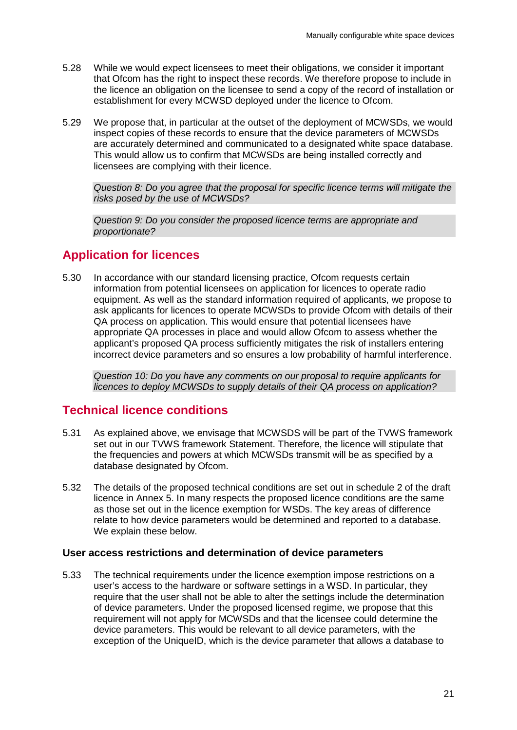- 5.28 While we would expect licensees to meet their obligations, we consider it important that Ofcom has the right to inspect these records. We therefore propose to include in the licence an obligation on the licensee to send a copy of the record of installation or establishment for every MCWSD deployed under the licence to Ofcom.
- 5.29 We propose that, in particular at the outset of the deployment of MCWSDs, we would inspect copies of these records to ensure that the device parameters of MCWSDs are accurately determined and communicated to a designated white space database. This would allow us to confirm that MCWSDs are being installed correctly and licensees are complying with their licence.

*Question 8: Do you agree that the proposal for specific licence terms will mitigate the risks posed by the use of MCWSDs?*

*Question 9: Do you consider the proposed licence terms are appropriate and proportionate?*

## **Application for licences**

5.30 In accordance with our standard licensing practice, Ofcom requests certain information from potential licensees on application for licences to operate radio equipment. As well as the standard information required of applicants, we propose to ask applicants for licences to operate MCWSDs to provide Ofcom with details of their QA process on application. This would ensure that potential licensees have appropriate QA processes in place and would allow Ofcom to assess whether the applicant's proposed QA process sufficiently mitigates the risk of installers entering incorrect device parameters and so ensures a low probability of harmful interference.

*Question 10: Do you have any comments on our proposal to require applicants for licences to deploy MCWSDs to supply details of their QA process on application?*

## **Technical licence conditions**

- 5.31 As explained above, we envisage that MCWSDS will be part of the TVWS framework set out in our TVWS framework Statement. Therefore, the licence will stipulate that the frequencies and powers at which MCWSDs transmit will be as specified by a database designated by Ofcom.
- 5.32 The details of the proposed technical conditions are set out in schedule 2 of the draft licence in Annex 5. In many respects the proposed licence conditions are the same as those set out in the licence exemption for WSDs. The key areas of difference relate to how device parameters would be determined and reported to a database. We explain these below.

### **User access restrictions and determination of device parameters**

5.33 The technical requirements under the licence exemption impose restrictions on a user's access to the hardware or software settings in a WSD. In particular, they require that the user shall not be able to alter the settings include the determination of device parameters. Under the proposed licensed regime, we propose that this requirement will not apply for MCWSDs and that the licensee could determine the device parameters. This would be relevant to all device parameters, with the exception of the UniqueID, which is the device parameter that allows a database to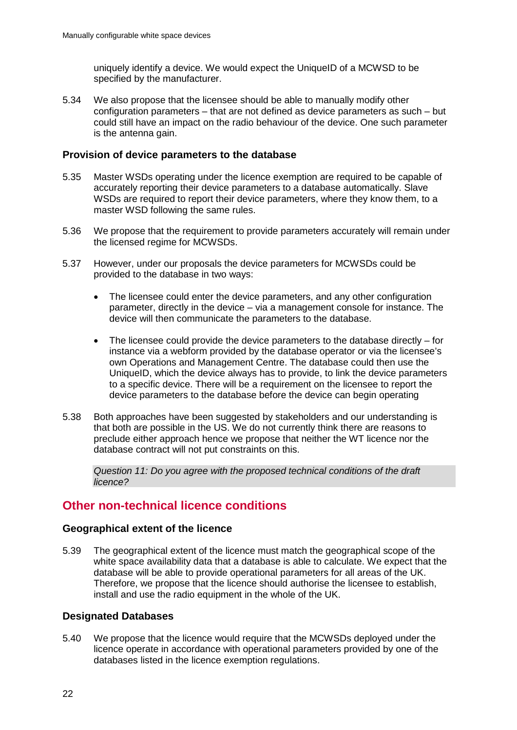uniquely identify a device. We would expect the UniqueID of a MCWSD to be specified by the manufacturer.

5.34 We also propose that the licensee should be able to manually modify other configuration parameters – that are not defined as device parameters as such – but could still have an impact on the radio behaviour of the device. One such parameter is the antenna gain.

#### **Provision of device parameters to the database**

- 5.35 Master WSDs operating under the licence exemption are required to be capable of accurately reporting their device parameters to a database automatically. Slave WSDs are required to report their device parameters, where they know them, to a master WSD following the same rules.
- 5.36 We propose that the requirement to provide parameters accurately will remain under the licensed regime for MCWSDs.
- 5.37 However, under our proposals the device parameters for MCWSDs could be provided to the database in two ways:
	- The licensee could enter the device parameters, and any other configuration parameter, directly in the device – via a management console for instance. The device will then communicate the parameters to the database.
	- The licensee could provide the device parameters to the database directly  $-$  for instance via a webform provided by the database operator or via the licensee's own Operations and Management Centre. The database could then use the UniqueID, which the device always has to provide, to link the device parameters to a specific device. There will be a requirement on the licensee to report the device parameters to the database before the device can begin operating
- 5.38 Both approaches have been suggested by stakeholders and our understanding is that both are possible in the US. We do not currently think there are reasons to preclude either approach hence we propose that neither the WT licence nor the database contract will not put constraints on this.

*Question 11: Do you agree with the proposed technical conditions of the draft licence?*

## **Other non-technical licence conditions**

### **Geographical extent of the licence**

5.39 The geographical extent of the licence must match the geographical scope of the white space availability data that a database is able to calculate. We expect that the database will be able to provide operational parameters for all areas of the UK. Therefore, we propose that the licence should authorise the licensee to establish, install and use the radio equipment in the whole of the UK.

### **Designated Databases**

5.40 We propose that the licence would require that the MCWSDs deployed under the licence operate in accordance with operational parameters provided by one of the databases listed in the licence exemption regulations.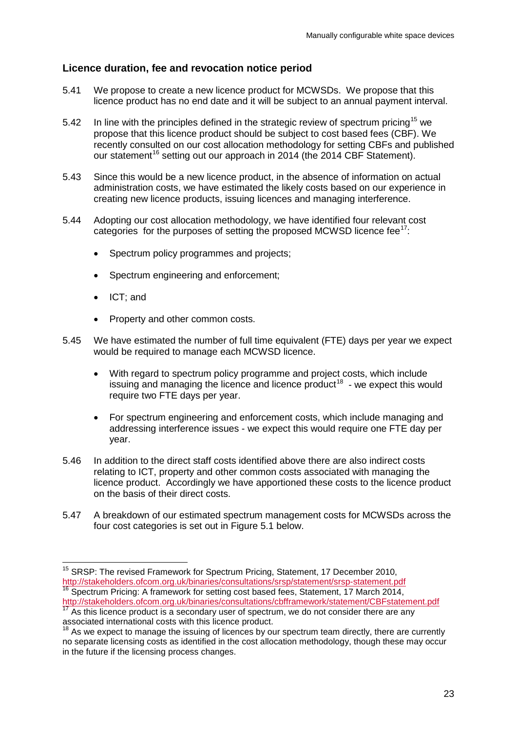### **Licence duration, fee and revocation notice period**

- 5.41 We propose to create a new licence product for MCWSDs. We propose that this licence product has no end date and it will be subject to an annual payment interval.
- 5.42 In line with the principles defined in the strategic review of spectrum pricing<sup>[15](#page-25-0)</sup> we propose that this licence product should be subject to cost based fees (CBF). We recently consulted on our cost allocation methodology for setting CBFs and published our statement<sup>[16](#page-25-1)</sup> setting out our approach in 2014 (the 2014 CBF Statement).
- 5.43 Since this would be a new licence product, in the absence of information on actual administration costs, we have estimated the likely costs based on our experience in creating new licence products, issuing licences and managing interference.
- 5.44 Adopting our cost allocation methodology, we have identified four relevant cost categories for the purposes of setting the proposed MCWSD licence fee $1$ :
	- Spectrum policy programmes and projects;
	- Spectrum engineering and enforcement:
	- ICT; and
	- Property and other common costs.
- 5.45 We have estimated the number of full time equivalent (FTE) days per year we expect would be required to manage each MCWSD licence.
	- With regard to spectrum policy programme and project costs, which include issuing and managing the licence and licence product<sup>[18](#page-25-3)</sup> - we expect this would require two FTE days per year.
	- For spectrum engineering and enforcement costs, which include managing and addressing interference issues - we expect this would require one FTE day per year.
- 5.46 In addition to the direct staff costs identified above there are also indirect costs relating to ICT, property and other common costs associated with managing the licence product. Accordingly we have apportioned these costs to the licence product on the basis of their direct costs.
- 5.47 A breakdown of our estimated spectrum management costs for MCWSDs across the four cost categories is set out in Figure 5.1 below.

<span id="page-25-0"></span><sup>&</sup>lt;sup>15</sup> SRSP: The revised Framework for Spectrum Pricing, Statement, 17 December 2010, <http://stakeholders.ofcom.org.uk/binaries/consultations/srsp/statement/srsp-statement.pdf> 16<br><sup>16</sup> Spectrum Pricing: A framework for setting cost based fees, Statement, 17 March 2014,  $\overline{a}$ 

<span id="page-25-1"></span><http://stakeholders.ofcom.org.uk/binaries/consultations/cbfframework/statement/CBFstatement.pdf>  $17$  As this licence product is a secondary user of spectrum, we do not consider there are any

<span id="page-25-2"></span>associated international costs with this licence product.

<span id="page-25-3"></span> $18$  As we expect to manage the issuing of licences by our spectrum team directly, there are currently no separate licensing costs as identified in the cost allocation methodology, though these may occur in the future if the licensing process changes.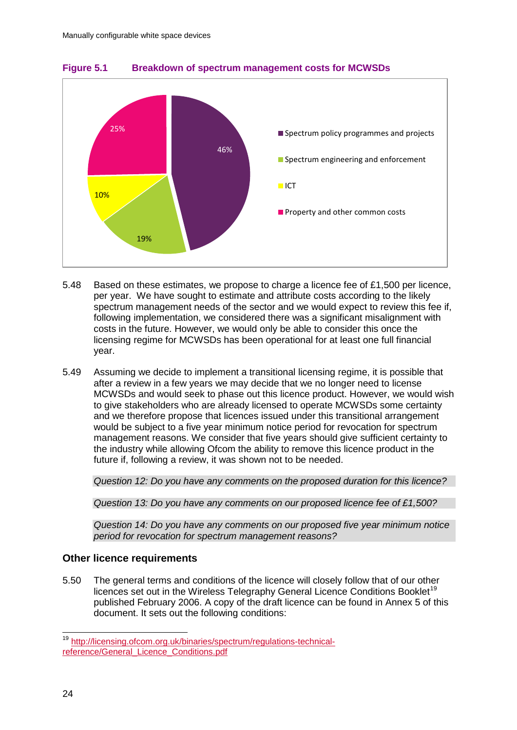

**Figure 5.1 Breakdown of spectrum management costs for MCWSDs**

- 5.48 Based on these estimates, we propose to charge a licence fee of £1,500 per licence, per year. We have sought to estimate and attribute costs according to the likely spectrum management needs of the sector and we would expect to review this fee if, following implementation, we considered there was a significant misalignment with costs in the future. However, we would only be able to consider this once the licensing regime for MCWSDs has been operational for at least one full financial year.
- 5.49 Assuming we decide to implement a transitional licensing regime, it is possible that after a review in a few years we may decide that we no longer need to license MCWSDs and would seek to phase out this licence product. However, we would wish to give stakeholders who are already licensed to operate MCWSDs some certainty and we therefore propose that licences issued under this transitional arrangement would be subject to a five year minimum notice period for revocation for spectrum management reasons. We consider that five years should give sufficient certainty to the industry while allowing Ofcom the ability to remove this licence product in the future if, following a review, it was shown not to be needed.

*Question 12: Do you have any comments on the proposed duration for this licence?*

*Question 13: Do you have any comments on our proposed licence fee of £1,500?*

*Question 14: Do you have any comments on our proposed five year minimum notice period for revocation for spectrum management reasons?*

### **Other licence requirements**

5.50 The general terms and conditions of the licence will closely follow that of our other licences set out in the Wireless Telegraphy General Licence Conditions Booklet<sup>[19](#page-26-0)</sup> published February 2006. A copy of the draft licence can be found in Annex 5 of this document. It sets out the following conditions:

<span id="page-26-0"></span><sup>&</sup>lt;sup>19</sup> [http://licensing.ofcom.org.uk/binaries/spectrum/regulations-technical](http://licensing.ofcom.org.uk/binaries/spectrum/regulations-technical-reference/General_Licence_Conditions.pdf)[reference/General\\_Licence\\_Conditions.pdf](http://licensing.ofcom.org.uk/binaries/spectrum/regulations-technical-reference/General_Licence_Conditions.pdf)  $\overline{a}$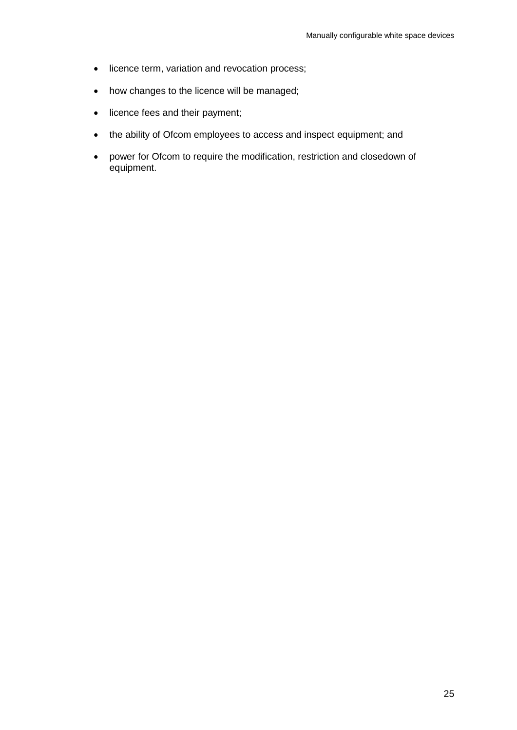- licence term, variation and revocation process;
- how changes to the licence will be managed;
- licence fees and their payment;
- the ability of Ofcom employees to access and inspect equipment; and
- power for Ofcom to require the modification, restriction and closedown of equipment.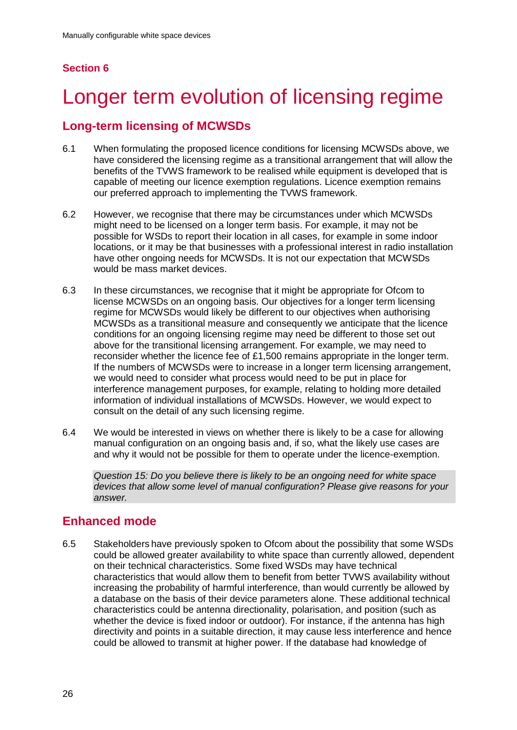## **Section 6**

# <span id="page-28-0"></span>Longer term evolution of licensing regime

## **Long-term licensing of MCWSDs**

- 6.1 When formulating the proposed licence conditions for licensing MCWSDs above, we have considered the licensing regime as a transitional arrangement that will allow the benefits of the TVWS framework to be realised while equipment is developed that is capable of meeting our licence exemption regulations. Licence exemption remains our preferred approach to implementing the TVWS framework.
- 6.2 However, we recognise that there may be circumstances under which MCWSDs might need to be licensed on a longer term basis. For example, it may not be possible for WSDs to report their location in all cases, for example in some indoor locations, or it may be that businesses with a professional interest in radio installation have other ongoing needs for MCWSDs. It is not our expectation that MCWSDs would be mass market devices.
- 6.3 In these circumstances, we recognise that it might be appropriate for Ofcom to license MCWSDs on an ongoing basis. Our objectives for a longer term licensing regime for MCWSDs would likely be different to our objectives when authorising MCWSDs as a transitional measure and consequently we anticipate that the licence conditions for an ongoing licensing regime may need be different to those set out above for the transitional licensing arrangement. For example, we may need to reconsider whether the licence fee of £1,500 remains appropriate in the longer term. If the numbers of MCWSDs were to increase in a longer term licensing arrangement, we would need to consider what process would need to be put in place for interference management purposes, for example, relating to holding more detailed information of individual installations of MCWSDs. However, we would expect to consult on the detail of any such licensing regime.
- 6.4 We would be interested in views on whether there is likely to be a case for allowing manual configuration on an ongoing basis and, if so, what the likely use cases are and why it would not be possible for them to operate under the licence-exemption.

*Question 15: Do you believe there is likely to be an ongoing need for white space devices that allow some level of manual configuration? Please give reasons for your answer.*

# **Enhanced mode**

6.5 Stakeholders have previously spoken to Ofcom about the possibility that some WSDs could be allowed greater availability to white space than currently allowed, dependent on their technical characteristics. Some fixed WSDs may have technical characteristics that would allow them to benefit from better TVWS availability without increasing the probability of harmful interference, than would currently be allowed by a database on the basis of their device parameters alone. These additional technical characteristics could be antenna directionality, polarisation, and position (such as whether the device is fixed indoor or outdoor). For instance, if the antenna has high directivity and points in a suitable direction, it may cause less interference and hence could be allowed to transmit at higher power. If the database had knowledge of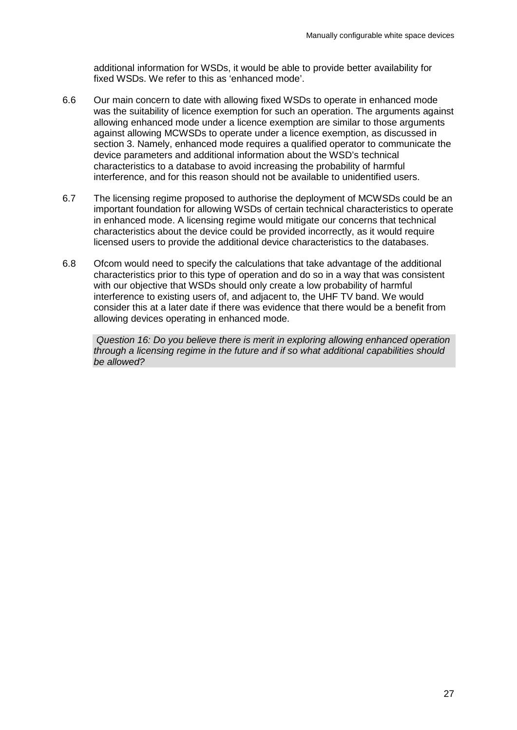additional information for WSDs, it would be able to provide better availability for fixed WSDs. We refer to this as 'enhanced mode'.

- 6.6 Our main concern to date with allowing fixed WSDs to operate in enhanced mode was the suitability of licence exemption for such an operation. The arguments against allowing enhanced mode under a licence exemption are similar to those arguments against allowing MCWSDs to operate under a licence exemption, as discussed in section 3. Namely, enhanced mode requires a qualified operator to communicate the device parameters and additional information about the WSD's technical characteristics to a database to avoid increasing the probability of harmful interference, and for this reason should not be available to unidentified users.
- 6.7 The licensing regime proposed to authorise the deployment of MCWSDs could be an important foundation for allowing WSDs of certain technical characteristics to operate in enhanced mode. A licensing regime would mitigate our concerns that technical characteristics about the device could be provided incorrectly, as it would require licensed users to provide the additional device characteristics to the databases.
- 6.8 Ofcom would need to specify the calculations that take advantage of the additional characteristics prior to this type of operation and do so in a way that was consistent with our objective that WSDs should only create a low probability of harmful interference to existing users of, and adjacent to, the UHF TV band. We would consider this at a later date if there was evidence that there would be a benefit from allowing devices operating in enhanced mode.

*Question 16: Do you believe there is merit in exploring allowing enhanced operation through a licensing regime in the future and if so what additional capabilities should be allowed?*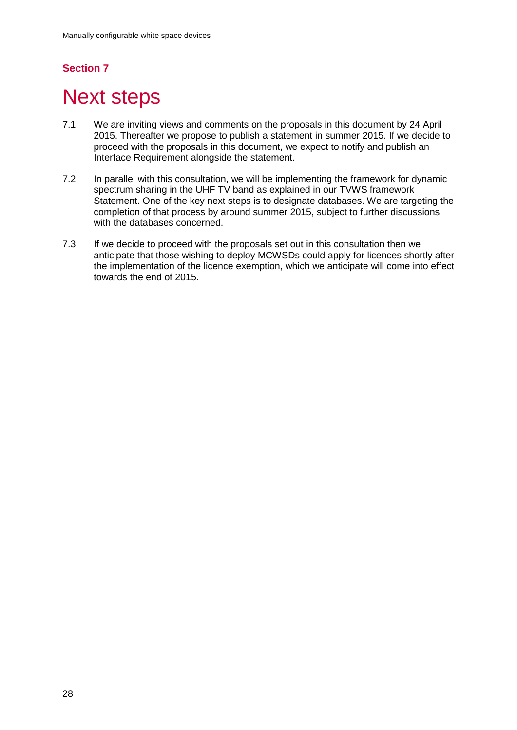# **Section 7**

# <span id="page-30-0"></span>**Next steps**

- 7.1 We are inviting views and comments on the proposals in this document by 24 April 2015. Thereafter we propose to publish a statement in summer 2015. If we decide to proceed with the proposals in this document, we expect to notify and publish an Interface Requirement alongside the statement.
- 7.2 In parallel with this consultation, we will be implementing the framework for dynamic spectrum sharing in the UHF TV band as explained in our TVWS framework Statement. One of the key next steps is to designate databases. We are targeting the completion of that process by around summer 2015, subject to further discussions with the databases concerned.
- 7.3 If we decide to proceed with the proposals set out in this consultation then we anticipate that those wishing to deploy MCWSDs could apply for licences shortly after the implementation of the licence exemption, which we anticipate will come into effect towards the end of 2015.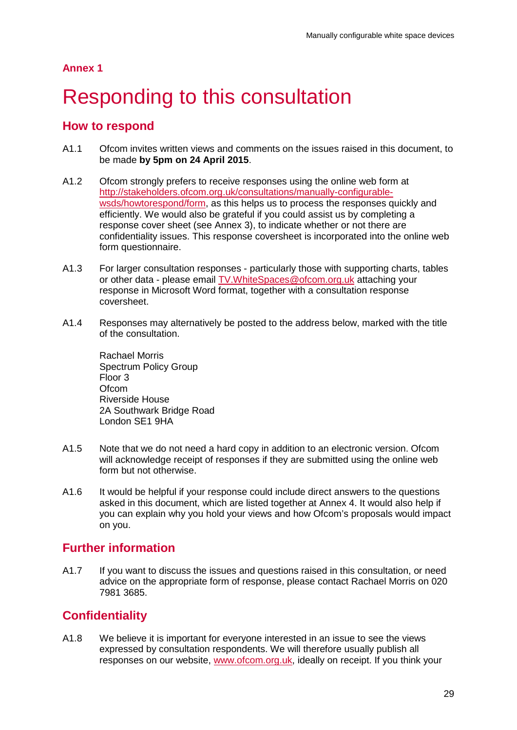## **Annex 1**

# <span id="page-31-0"></span>Responding to this consultation

## **How to respond**

- A1.1 Ofcom invites written views and comments on the issues raised in this document, to be made **by 5pm on 24 April 2015**.
- A1.2 Ofcom strongly prefers to receive responses using the online web form at [http://stakeholders.ofcom.org.uk/consultations/manually-configurable](http://stakeholders.ofcom.org.uk/consultations/manually-configurable-wsds/howtorespond/form)[wsds/howtorespond/form,](http://stakeholders.ofcom.org.uk/consultations/manually-configurable-wsds/howtorespond/form) as this helps us to process the responses quickly and efficiently. We would also be grateful if you could assist us by completing a response cover sheet (see Annex 3), to indicate whether or not there are confidentiality issues. This response coversheet is incorporated into the online web form questionnaire.
- A1.3 For larger consultation responses particularly those with supporting charts, tables or other data - please email [TV.WhiteSpaces@ofcom.org.uk](mailto:TV.WhiteSpaces@ofcom.org.uk) attaching your response in Microsoft Word format, together with a consultation response coversheet.
- A1.4 Responses may alternatively be posted to the address below, marked with the title of the consultation.

Rachael Morris Spectrum Policy Group Floor 3 **Ofcom** Riverside House 2A Southwark Bridge Road London SE1 9HA

- A1.5 Note that we do not need a hard copy in addition to an electronic version. Ofcom will acknowledge receipt of responses if they are submitted using the online web form but not otherwise.
- A1.6 It would be helpful if your response could include direct answers to the questions asked in this document, which are listed together at Annex 4. It would also help if you can explain why you hold your views and how Ofcom's proposals would impact on you.

## **Further information**

A1.7 If you want to discuss the issues and questions raised in this consultation, or need advice on the appropriate form of response, please contact Rachael Morris on 020 7981 3685.

# **Confidentiality**

A1.8 We believe it is important for everyone interested in an issue to see the views expressed by consultation respondents. We will therefore usually publish all responses on our website, [www.ofcom.org.uk,](http://www.ofcom.org.uk/) ideally on receipt. If you think your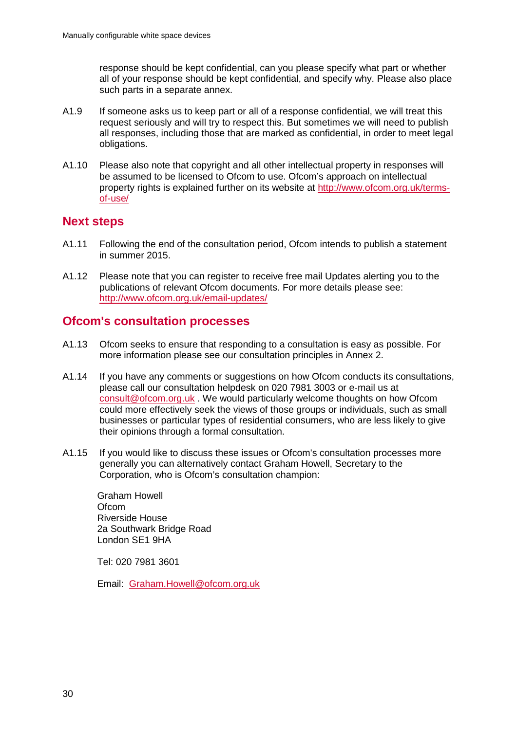response should be kept confidential, can you please specify what part or whether all of your response should be kept confidential, and specify why. Please also place such parts in a separate annex.

- A1.9 If someone asks us to keep part or all of a response confidential, we will treat this request seriously and will try to respect this. But sometimes we will need to publish all responses, including those that are marked as confidential, in order to meet legal obligations.
- A1.10 Please also note that copyright and all other intellectual property in responses will be assumed to be licensed to Ofcom to use. Ofcom's approach on intellectual property rights is explained further on its website at [http://www.ofcom.org.uk/terms](http://www.ofcom.org.uk/terms-of-use/)[of-use/](http://www.ofcom.org.uk/terms-of-use/)

## **Next steps**

- A1.11 Following the end of the consultation period, Ofcom intends to publish a statement in summer 2015.
- A1.12 Please note that you can register to receive free mail Updates alerting you to the publications of relevant Ofcom documents. For more details please see: <http://www.ofcom.org.uk/email-updates/>

## **Ofcom's consultation processes**

- A1.13 Ofcom seeks to ensure that responding to a consultation is easy as possible. For more information please see our consultation principles in Annex 2.
- A1.14 If you have any comments or suggestions on how Ofcom conducts its consultations, please call our consultation helpdesk on 020 7981 3003 or e-mail us at [consult@ofcom.org.uk](mailto:consult@ofcom.org.uk) . We would particularly welcome thoughts on how Ofcom could more effectively seek the views of those groups or individuals, such as small businesses or particular types of residential consumers, who are less likely to give their opinions through a formal consultation.
- A1.15 If you would like to discuss these issues or Ofcom's consultation processes more generally you can alternatively contact Graham Howell, Secretary to the Corporation, who is Ofcom's consultation champion:

Graham Howell **Ofcom** Riverside House 2a Southwark Bridge Road London SE1 9HA

Tel: 020 7981 3601

Email: [Graham.Howell@ofcom.org.uk](mailto:Graham.Howell@ofcom.org.uk)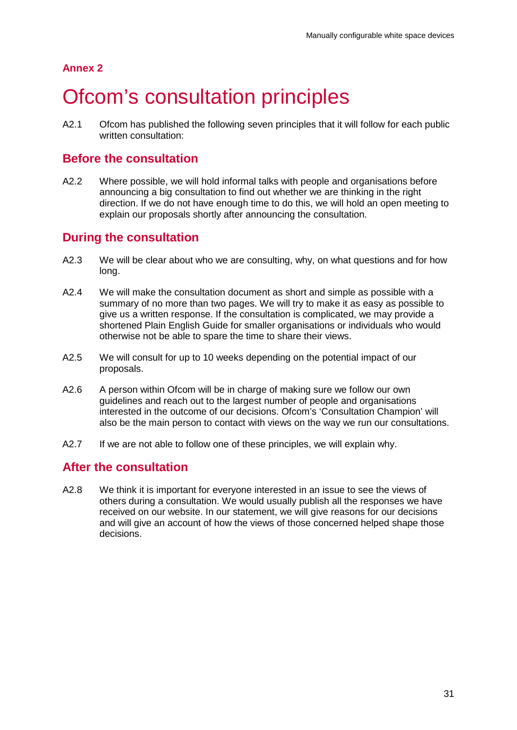## **Annex 2**

# <span id="page-33-0"></span>**Ofcom's consultation principles**

A2.1 Ofcom has published the following seven principles that it will follow for each public written consultation:

## **Before the consultation**

A2.2 Where possible, we will hold informal talks with people and organisations before announcing a big consultation to find out whether we are thinking in the right direction. If we do not have enough time to do this, we will hold an open meeting to explain our proposals shortly after announcing the consultation.

## **During the consultation**

- A2.3 We will be clear about who we are consulting, why, on what questions and for how long.
- A2.4 We will make the consultation document as short and simple as possible with a summary of no more than two pages. We will try to make it as easy as possible to give us a written response. If the consultation is complicated, we may provide a shortened Plain English Guide for smaller organisations or individuals who would otherwise not be able to spare the time to share their views.
- A2.5 We will consult for up to 10 weeks depending on the potential impact of our proposals.
- A2.6 A person within Ofcom will be in charge of making sure we follow our own guidelines and reach out to the largest number of people and organisations interested in the outcome of our decisions. Ofcom's 'Consultation Champion' will also be the main person to contact with views on the way we run our consultations.
- A2.7 If we are not able to follow one of these principles, we will explain why.

## **After the consultation**

A2.8 We think it is important for everyone interested in an issue to see the views of others during a consultation. We would usually publish all the responses we have received on our website. In our statement, we will give reasons for our decisions and will give an account of how the views of those concerned helped shape those decisions.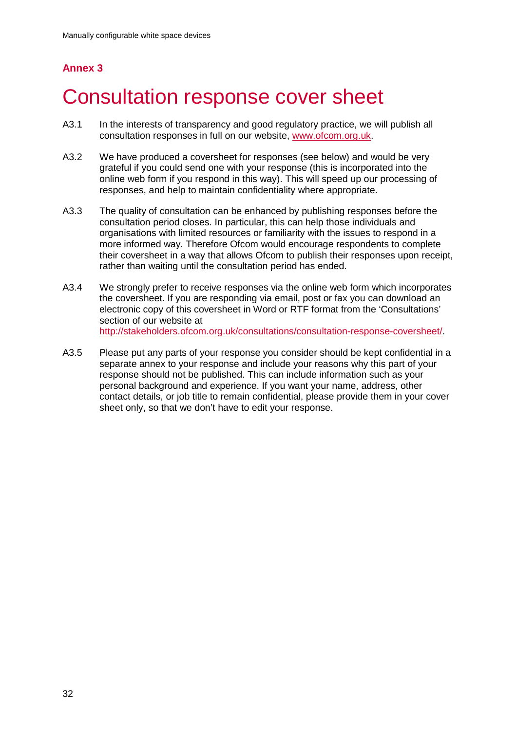# **Annex 3**

# <span id="page-34-0"></span>3 Consultation response cover sheet

- A3.1 In the interests of transparency and good regulatory practice, we will publish all consultation responses in full on our website, [www.ofcom.org.uk.](http://www.ofcom.org.uk/)
- A3.2 We have produced a coversheet for responses (see below) and would be very grateful if you could send one with your response (this is incorporated into the online web form if you respond in this way). This will speed up our processing of responses, and help to maintain confidentiality where appropriate.
- A3.3 The quality of consultation can be enhanced by publishing responses before the consultation period closes. In particular, this can help those individuals and organisations with limited resources or familiarity with the issues to respond in a more informed way. Therefore Ofcom would encourage respondents to complete their coversheet in a way that allows Ofcom to publish their responses upon receipt, rather than waiting until the consultation period has ended.
- A3.4 We strongly prefer to receive responses via the online web form which incorporates the coversheet. If you are responding via email, post or fax you can download an electronic copy of this coversheet in Word or RTF format from the 'Consultations' section of our website at [http://stakeholders.ofcom.org.uk/consultations/consultation-response-coversheet/.](http://stakeholders.ofcom.org.uk/consultations/consultation-response-coversheet/)
- A3.5 Please put any parts of your response you consider should be kept confidential in a separate annex to your response and include your reasons why this part of your response should not be published. This can include information such as your personal background and experience. If you want your name, address, other contact details, or job title to remain confidential, please provide them in your cover sheet only, so that we don't have to edit your response.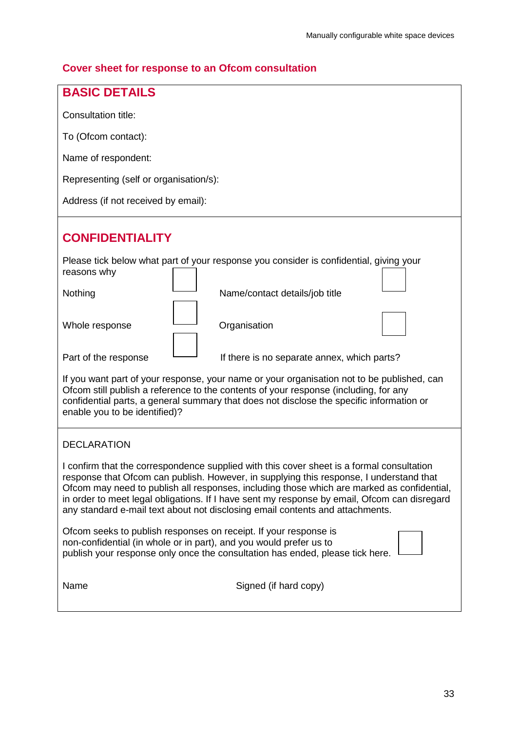## **Cover sheet for response to an Ofcom consultation**

| <b>BASIC DETAILS</b>                                                                                                                                                                                                                                                                                                                                                                                                                                                |  |  |  |  |
|---------------------------------------------------------------------------------------------------------------------------------------------------------------------------------------------------------------------------------------------------------------------------------------------------------------------------------------------------------------------------------------------------------------------------------------------------------------------|--|--|--|--|
|                                                                                                                                                                                                                                                                                                                                                                                                                                                                     |  |  |  |  |
| Consultation title:                                                                                                                                                                                                                                                                                                                                                                                                                                                 |  |  |  |  |
| To (Ofcom contact):                                                                                                                                                                                                                                                                                                                                                                                                                                                 |  |  |  |  |
| Name of respondent:                                                                                                                                                                                                                                                                                                                                                                                                                                                 |  |  |  |  |
| Representing (self or organisation/s):                                                                                                                                                                                                                                                                                                                                                                                                                              |  |  |  |  |
| Address (if not received by email):                                                                                                                                                                                                                                                                                                                                                                                                                                 |  |  |  |  |
| <b>CONFIDENTIALITY</b>                                                                                                                                                                                                                                                                                                                                                                                                                                              |  |  |  |  |
| Please tick below what part of your response you consider is confidential, giving your<br>reasons why                                                                                                                                                                                                                                                                                                                                                               |  |  |  |  |
| Nothing<br>Name/contact details/job title                                                                                                                                                                                                                                                                                                                                                                                                                           |  |  |  |  |
| Whole response<br>Organisation                                                                                                                                                                                                                                                                                                                                                                                                                                      |  |  |  |  |
| Part of the response<br>If there is no separate annex, which parts?                                                                                                                                                                                                                                                                                                                                                                                                 |  |  |  |  |
| If you want part of your response, your name or your organisation not to be published, can<br>Ofcom still publish a reference to the contents of your response (including, for any<br>confidential parts, a general summary that does not disclose the specific information or<br>enable you to be identified)?                                                                                                                                                     |  |  |  |  |
| <b>DECLARATION</b>                                                                                                                                                                                                                                                                                                                                                                                                                                                  |  |  |  |  |
| I confirm that the correspondence supplied with this cover sheet is a formal consultation<br>response that Ofcom can publish. However, in supplying this response, I understand that<br>Ofcom may need to publish all responses, including those which are marked as confidential,<br>in order to meet legal obligations. If I have sent my response by email, Ofcom can disregard<br>any standard e-mail text about not disclosing email contents and attachments. |  |  |  |  |
| Ofcom seeks to publish responses on receipt. If your response is<br>non-confidential (in whole or in part), and you would prefer us to<br>publish your response only once the consultation has ended, please tick here.                                                                                                                                                                                                                                             |  |  |  |  |
| Name<br>Signed (if hard copy)                                                                                                                                                                                                                                                                                                                                                                                                                                       |  |  |  |  |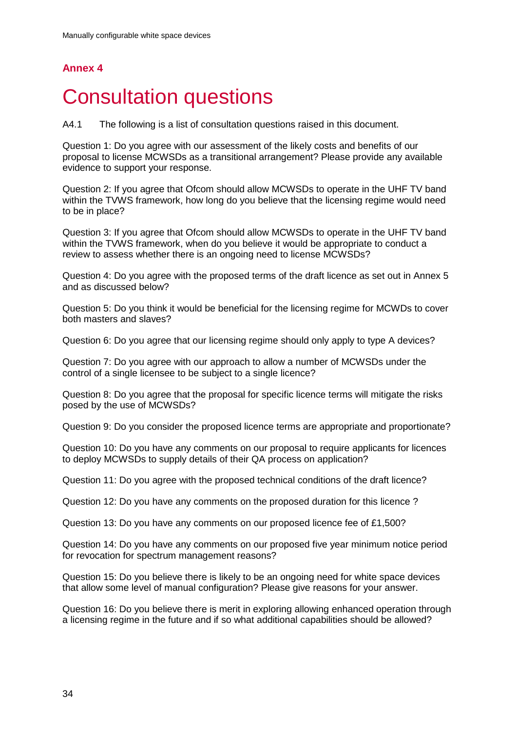## **Annex 4**

# <span id="page-36-0"></span>**Consultation questions**

A4.1 The following is a list of consultation questions raised in this document.

Question 1: Do you agree with our assessment of the likely costs and benefits of our proposal to license MCWSDs as a transitional arrangement? Please provide any available evidence to support your response.

Question 2: If you agree that Ofcom should allow MCWSDs to operate in the UHF TV band within the TVWS framework, how long do you believe that the licensing regime would need to be in place?

Question 3: If you agree that Ofcom should allow MCWSDs to operate in the UHF TV band within the TVWS framework, when do you believe it would be appropriate to conduct a review to assess whether there is an ongoing need to license MCWSDs?

Question 4: Do you agree with the proposed terms of the draft licence as set out in Annex 5 and as discussed below?

Question 5: Do you think it would be beneficial for the licensing regime for MCWDs to cover both masters and slaves?

Question 6: Do you agree that our licensing regime should only apply to type A devices?

Question 7: Do you agree with our approach to allow a number of MCWSDs under the control of a single licensee to be subject to a single licence?

Question 8: Do you agree that the proposal for specific licence terms will mitigate the risks posed by the use of MCWSDs?

Question 9: Do you consider the proposed licence terms are appropriate and proportionate?

Question 10: Do you have any comments on our proposal to require applicants for licences to deploy MCWSDs to supply details of their QA process on application?

Question 11: Do you agree with the proposed technical conditions of the draft licence?

Question 12: Do you have any comments on the proposed duration for this licence ?

Question 13: Do you have any comments on our proposed licence fee of £1,500?

Question 14: Do you have any comments on our proposed five year minimum notice period for revocation for spectrum management reasons?

Question 15: Do you believe there is likely to be an ongoing need for white space devices that allow some level of manual configuration? Please give reasons for your answer.

Question 16: Do you believe there is merit in exploring allowing enhanced operation through a licensing regime in the future and if so what additional capabilities should be allowed?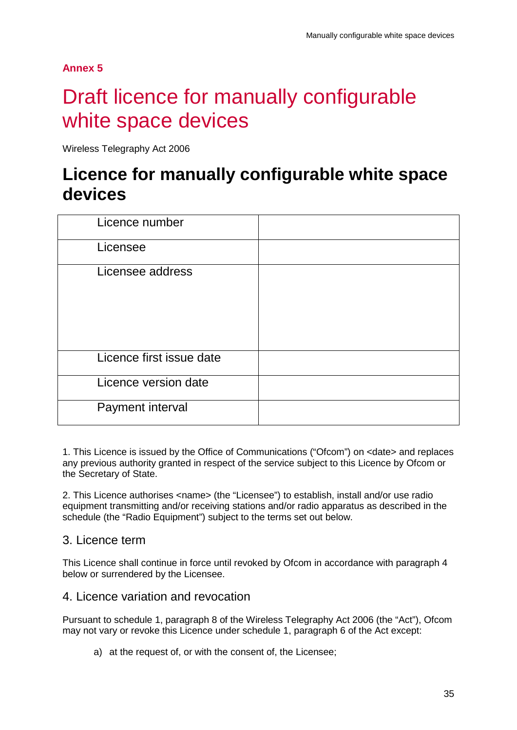**Annex 5**

# <span id="page-37-0"></span>5 Draft licence for manually configurable white space devices

Wireless Telegraphy Act 2006

# **Licence for manually configurable white space devices**

| Licence number           |  |
|--------------------------|--|
| Licensee                 |  |
| Licensee address         |  |
| Licence first issue date |  |
| Licence version date     |  |
| Payment interval         |  |

1. This Licence is issued by the Office of Communications ("Ofcom") on <date> and replaces any previous authority granted in respect of the service subject to this Licence by Ofcom or the Secretary of State.

2. This Licence authorises <name> (the "Licensee") to establish, install and/or use radio equipment transmitting and/or receiving stations and/or radio apparatus as described in the schedule (the "Radio Equipment") subject to the terms set out below.

## 3. Licence term

This Licence shall continue in force until revoked by Ofcom in accordance with paragraph 4 below or surrendered by the Licensee.

## 4. Licence variation and revocation

Pursuant to schedule 1, paragraph 8 of the Wireless Telegraphy Act 2006 (the "Act"), Ofcom may not vary or revoke this Licence under schedule 1, paragraph 6 of the Act except:

a) at the request of, or with the consent of, the Licensee;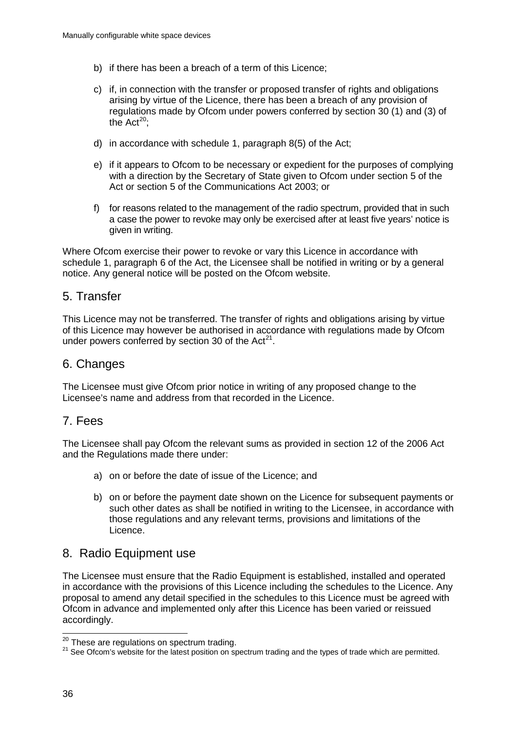- b) if there has been a breach of a term of this Licence;
- c) if, in connection with the transfer or proposed transfer of rights and obligations arising by virtue of the Licence, there has been a breach of any provision of regulations made by Ofcom under powers conferred by section 30 (1) and (3) of the Act<sup>[20](#page-38-0)</sup>;
- d) in accordance with schedule 1, paragraph 8(5) of the Act;
- e) if it appears to Ofcom to be necessary or expedient for the purposes of complying with a direction by the Secretary of State given to Ofcom under section 5 of the Act or section 5 of the Communications Act 2003; or
- f) for reasons related to the management of the radio spectrum, provided that in such a case the power to revoke may only be exercised after at least five years' notice is given in writing.

Where Ofcom exercise their power to revoke or vary this Licence in accordance with schedule 1, paragraph 6 of the Act, the Licensee shall be notified in writing or by a general notice. Any general notice will be posted on the Ofcom website.

## 5. Transfer

This Licence may not be transferred. The transfer of rights and obligations arising by virtue of this Licence may however be authorised in accordance with regulations made by Ofcom under powers conferred by section 30 of the Act<sup>21</sup>.

## 6. Changes

The Licensee must give Ofcom prior notice in writing of any proposed change to the Licensee's name and address from that recorded in the Licence.

## 7. Fees

The Licensee shall pay Ofcom the relevant sums as provided in section 12 of the 2006 Act and the Regulations made there under:

- a) on or before the date of issue of the Licence; and
- b) on or before the payment date shown on the Licence for subsequent payments or such other dates as shall be notified in writing to the Licensee, in accordance with those regulations and any relevant terms, provisions and limitations of the Licence.

## 8. Radio Equipment use

The Licensee must ensure that the Radio Equipment is established, installed and operated in accordance with the provisions of this Licence including the schedules to the Licence. Any proposal to amend any detail specified in the schedules to this Licence must be agreed with Ofcom in advance and implemented only after this Licence has been varied or reissued accordingly.

<span id="page-38-0"></span><sup>&</sup>lt;sup>20</sup> These are regulations on spectrum trading.

<span id="page-38-1"></span><sup>&</sup>lt;sup>21</sup> See Ofcom's website for the latest position on spectrum trading and the types of trade which are permitted.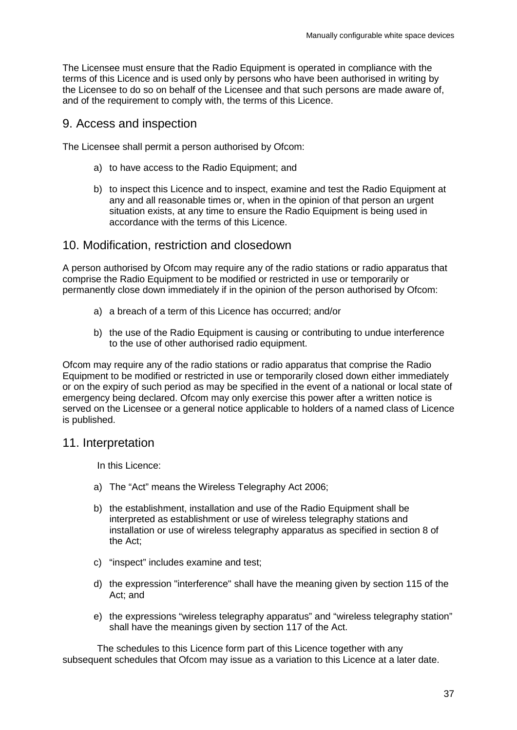The Licensee must ensure that the Radio Equipment is operated in compliance with the terms of this Licence and is used only by persons who have been authorised in writing by the Licensee to do so on behalf of the Licensee and that such persons are made aware of, and of the requirement to comply with, the terms of this Licence.

### 9. Access and inspection

The Licensee shall permit a person authorised by Ofcom:

- a) to have access to the Radio Equipment; and
- b) to inspect this Licence and to inspect, examine and test the Radio Equipment at any and all reasonable times or, when in the opinion of that person an urgent situation exists, at any time to ensure the Radio Equipment is being used in accordance with the terms of this Licence.

### 10. Modification, restriction and closedown

A person authorised by Ofcom may require any of the radio stations or radio apparatus that comprise the Radio Equipment to be modified or restricted in use or temporarily or permanently close down immediately if in the opinion of the person authorised by Ofcom:

- a) a breach of a term of this Licence has occurred; and/or
- b) the use of the Radio Equipment is causing or contributing to undue interference to the use of other authorised radio equipment.

Ofcom may require any of the radio stations or radio apparatus that comprise the Radio Equipment to be modified or restricted in use or temporarily closed down either immediately or on the expiry of such period as may be specified in the event of a national or local state of emergency being declared. Ofcom may only exercise this power after a written notice is served on the Licensee or a general notice applicable to holders of a named class of Licence is published.

## 11. Interpretation

In this Licence:

- a) The "Act" means the Wireless Telegraphy Act 2006;
- b) the establishment, installation and use of the Radio Equipment shall be interpreted as establishment or use of wireless telegraphy stations and installation or use of wireless telegraphy apparatus as specified in section 8 of the Act;
- c) "inspect" includes examine and test;
- d) the expression "interference" shall have the meaning given by section 115 of the Act; and
- e) the expressions "wireless telegraphy apparatus" and "wireless telegraphy station" shall have the meanings given by section 117 of the Act.

The schedules to this Licence form part of this Licence together with any subsequent schedules that Ofcom may issue as a variation to this Licence at a later date.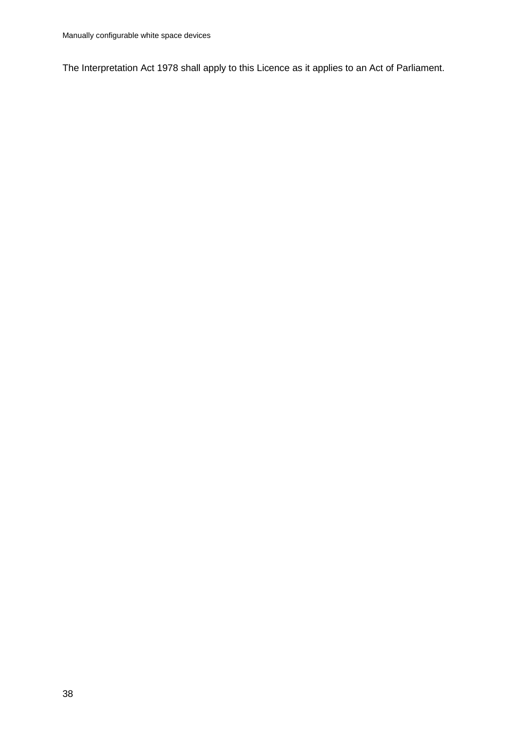The Interpretation Act 1978 shall apply to this Licence as it applies to an Act of Parliament.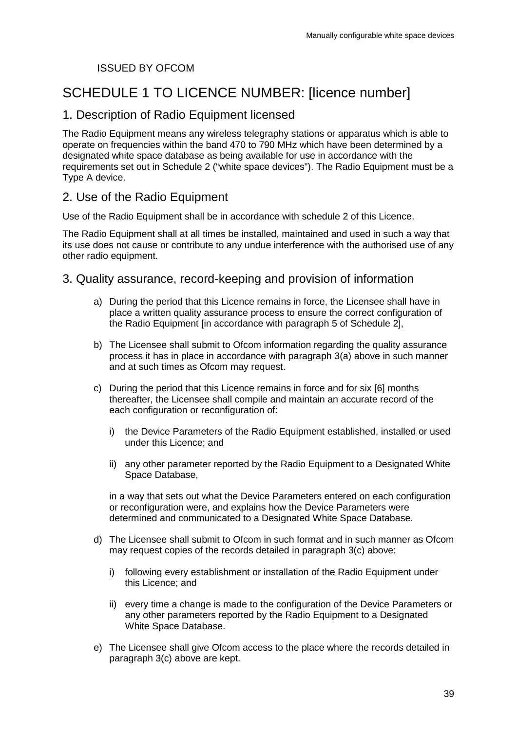### ISSUED BY OFCOM

# SCHEDULE 1 TO LICENCE NUMBER: [licence number]

## 1. Description of Radio Equipment licensed

The Radio Equipment means any wireless telegraphy stations or apparatus which is able to operate on frequencies within the band 470 to 790 MHz which have been determined by a designated white space database as being available for use in accordance with the requirements set out in Schedule 2 ("white space devices"). The Radio Equipment must be a Type A device.

## 2. Use of the Radio Equipment

Use of the Radio Equipment shall be in accordance with schedule 2 of this Licence.

The Radio Equipment shall at all times be installed, maintained and used in such a way that its use does not cause or contribute to any undue interference with the authorised use of any other radio equipment.

### 3. Quality assurance, record-keeping and provision of information

- a) During the period that this Licence remains in force, the Licensee shall have in place a written quality assurance process to ensure the correct configuration of the Radio Equipment [in accordance with paragraph 5 of Schedule 2],
- b) The Licensee shall submit to Ofcom information regarding the quality assurance process it has in place in accordance with paragraph 3(a) above in such manner and at such times as Ofcom may request.
- c) During the period that this Licence remains in force and for six [6] months thereafter, the Licensee shall compile and maintain an accurate record of the each configuration or reconfiguration of:
	- i) the Device Parameters of the Radio Equipment established, installed or used under this Licence; and
	- ii) any other parameter reported by the Radio Equipment to a Designated White Space Database,

in a way that sets out what the Device Parameters entered on each configuration or reconfiguration were, and explains how the Device Parameters were determined and communicated to a Designated White Space Database.

- d) The Licensee shall submit to Ofcom in such format and in such manner as Ofcom may request copies of the records detailed in paragraph 3(c) above:
	- i) following every establishment or installation of the Radio Equipment under this Licence; and
	- ii) every time a change is made to the configuration of the Device Parameters or any other parameters reported by the Radio Equipment to a Designated White Space Database.
- e) The Licensee shall give Ofcom access to the place where the records detailed in paragraph 3(c) above are kept.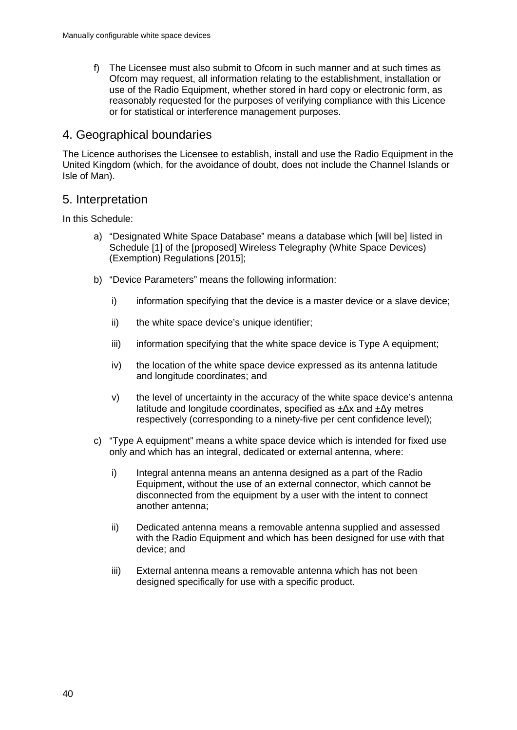f) The Licensee must also submit to Ofcom in such manner and at such times as Ofcom may request, all information relating to the establishment, installation or use of the Radio Equipment, whether stored in hard copy or electronic form, as reasonably requested for the purposes of verifying compliance with this Licence or for statistical or interference management purposes.

### 4. Geographical boundaries

The Licence authorises the Licensee to establish, install and use the Radio Equipment in the United Kingdom (which, for the avoidance of doubt, does not include the Channel Islands or Isle of Man).

### 5. Interpretation

In this Schedule:

- a) "Designated White Space Database" means a database which [will be] listed in Schedule [1] of the [proposed] Wireless Telegraphy (White Space Devices) (Exemption) Regulations [2015];
- b) "Device Parameters" means the following information:
	- i) information specifying that the device is a master device or a slave device;
	- ii) the white space device's unique identifier;
	- iii) information specifying that the white space device is Type A equipment;
	- iv) the location of the white space device expressed as its antenna latitude and longitude coordinates; and
	- v) the level of uncertainty in the accuracy of the white space device's antenna latitude and longitude coordinates, specified as ±Δx and ±Δy metres respectively (corresponding to a ninety-five per cent confidence level);
- c) "Type A equipment" means a white space device which is intended for fixed use only and which has an integral, dedicated or external antenna, where:
	- i) Integral antenna means an antenna designed as a part of the Radio Equipment, without the use of an external connector, which cannot be disconnected from the equipment by a user with the intent to connect another antenna;
	- ii) Dedicated antenna means a removable antenna supplied and assessed with the Radio Equipment and which has been designed for use with that device; and
	- iii) External antenna means a removable antenna which has not been designed specifically for use with a specific product.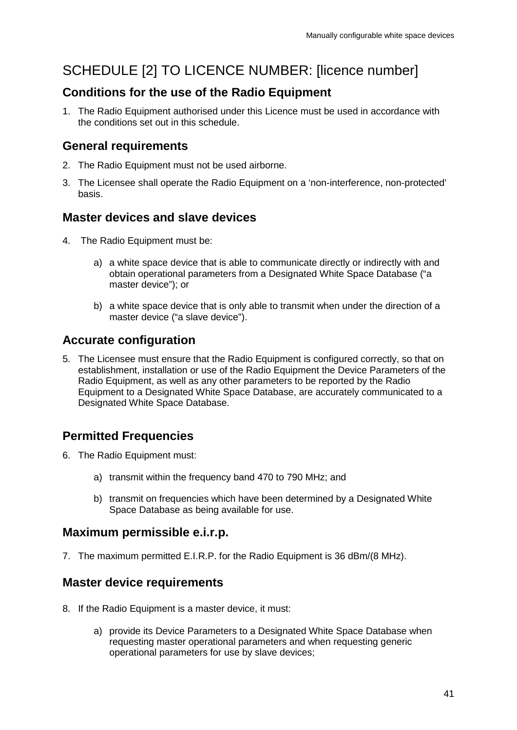# SCHEDULE [2] TO LICENCE NUMBER: [licence number]

## **Conditions for the use of the Radio Equipment**

1. The Radio Equipment authorised under this Licence must be used in accordance with the conditions set out in this schedule.

## **General requirements**

- 2. The Radio Equipment must not be used airborne.
- 3. The Licensee shall operate the Radio Equipment on a 'non-interference, non-protected' basis.

## **Master devices and slave devices**

- 4. The Radio Equipment must be:
	- a) a white space device that is able to communicate directly or indirectly with and obtain operational parameters from a Designated White Space Database ("a master device"); or
	- b) a white space device that is only able to transmit when under the direction of a master device ("a slave device").

## **Accurate configuration**

5. The Licensee must ensure that the Radio Equipment is configured correctly, so that on establishment, installation or use of the Radio Equipment the Device Parameters of the Radio Equipment, as well as any other parameters to be reported by the Radio Equipment to a Designated White Space Database, are accurately communicated to a Designated White Space Database.

# **Permitted Frequencies**

- 6. The Radio Equipment must:
	- a) transmit within the frequency band 470 to 790 MHz; and
	- b) transmit on frequencies which have been determined by a Designated White Space Database as being available for use.

## **Maximum permissible e.i.r.p.**

7. The maximum permitted E.I.R.P. for the Radio Equipment is 36 dBm/(8 MHz).

## **Master device requirements**

- 8. If the Radio Equipment is a master device, it must:
	- a) provide its Device Parameters to a Designated White Space Database when requesting master operational parameters and when requesting generic operational parameters for use by slave devices;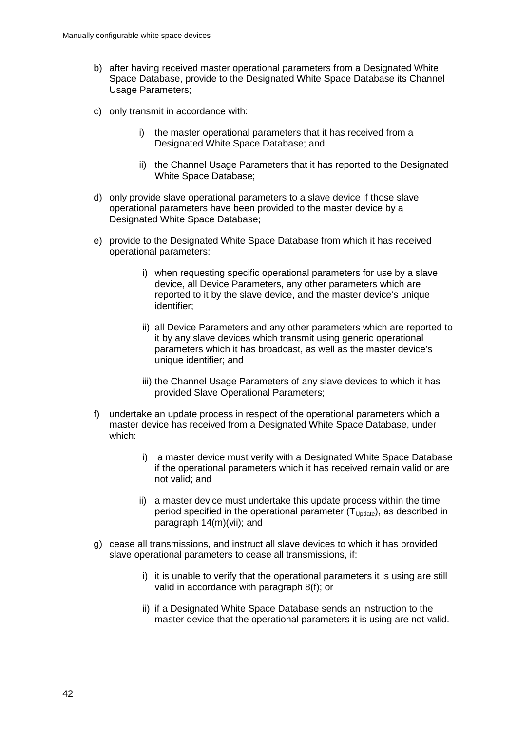- b) after having received master operational parameters from a Designated White Space Database, provide to the Designated White Space Database its Channel Usage Parameters;
- c) only transmit in accordance with:
	- i) the master operational parameters that it has received from a Designated White Space Database; and
	- ii) the Channel Usage Parameters that it has reported to the Designated White Space Database;
- d) only provide slave operational parameters to a slave device if those slave operational parameters have been provided to the master device by a Designated White Space Database;
- e) provide to the Designated White Space Database from which it has received operational parameters:
	- i) when requesting specific operational parameters for use by a slave device, all Device Parameters, any other parameters which are reported to it by the slave device, and the master device's unique identifier;
	- ii) all Device Parameters and any other parameters which are reported to it by any slave devices which transmit using generic operational parameters which it has broadcast, as well as the master device's unique identifier; and
	- iii) the Channel Usage Parameters of any slave devices to which it has provided Slave Operational Parameters;
- f) undertake an update process in respect of the operational parameters which a master device has received from a Designated White Space Database, under which:
	- i) a master device must verify with a Designated White Space Database if the operational parameters which it has received remain valid or are not valid; and
	- ii) a master device must undertake this update process within the time period specified in the operational parameter  $(T_{\text{Uodate}})$ , as described in paragraph 14(m)(vii); and
- g) cease all transmissions, and instruct all slave devices to which it has provided slave operational parameters to cease all transmissions, if:
	- i) it is unable to verify that the operational parameters it is using are still valid in accordance with paragraph 8(f); or
	- ii) if a Designated White Space Database sends an instruction to the master device that the operational parameters it is using are not valid.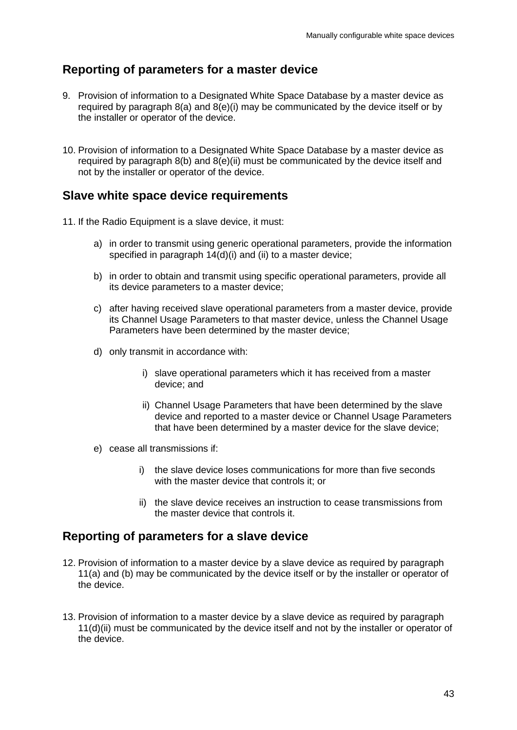## **Reporting of parameters for a master device**

- 9. Provision of information to a Designated White Space Database by a master device as required by paragraph 8(a) and 8(e)(i) may be communicated by the device itself or by the installer or operator of the device.
- 10. Provision of information to a Designated White Space Database by a master device as required by paragraph 8(b) and 8(e)(ii) must be communicated by the device itself and not by the installer or operator of the device.

## **Slave white space device requirements**

- 11. If the Radio Equipment is a slave device, it must:
	- a) in order to transmit using generic operational parameters, provide the information specified in paragraph 14(d)(i) and (ii) to a master device;
	- b) in order to obtain and transmit using specific operational parameters, provide all its device parameters to a master device;
	- c) after having received slave operational parameters from a master device, provide its Channel Usage Parameters to that master device, unless the Channel Usage Parameters have been determined by the master device;
	- d) only transmit in accordance with:
		- i) slave operational parameters which it has received from a master device; and
		- ii) Channel Usage Parameters that have been determined by the slave device and reported to a master device or Channel Usage Parameters that have been determined by a master device for the slave device;
	- e) cease all transmissions if:
		- i) the slave device loses communications for more than five seconds with the master device that controls it; or
		- ii) the slave device receives an instruction to cease transmissions from the master device that controls it.

## **Reporting of parameters for a slave device**

- 12. Provision of information to a master device by a slave device as required by paragraph 11(a) and (b) may be communicated by the device itself or by the installer or operator of the device.
- 13. Provision of information to a master device by a slave device as required by paragraph 11(d)(ii) must be communicated by the device itself and not by the installer or operator of the device.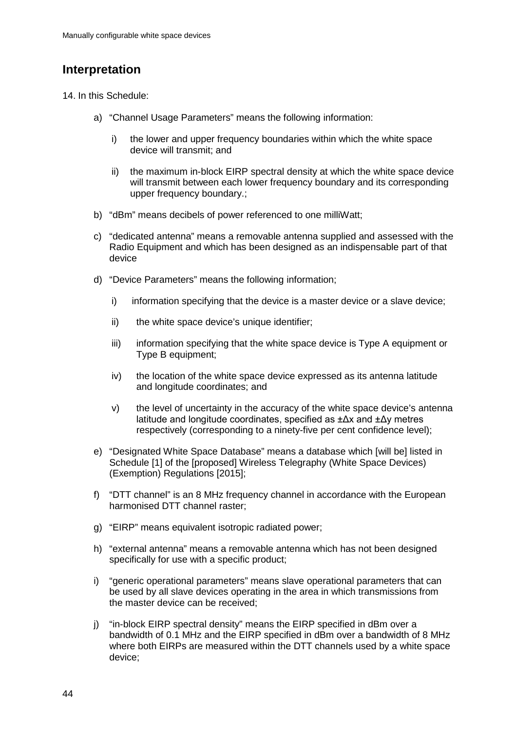# **Interpretation**

14. In this Schedule:

- a) "Channel Usage Parameters" means the following information:
	- i) the lower and upper frequency boundaries within which the white space device will transmit; and
	- ii) the maximum in-block EIRP spectral density at which the white space device will transmit between each lower frequency boundary and its corresponding upper frequency boundary.;
- b) "dBm" means decibels of power referenced to one milliWatt;
- c) "dedicated antenna" means a removable antenna supplied and assessed with the Radio Equipment and which has been designed as an indispensable part of that device
- d) "Device Parameters" means the following information;
	- $i)$  information specifying that the device is a master device or a slave device;
	- ii) the white space device's unique identifier;
	- iii) information specifying that the white space device is Type A equipment or Type B equipment;
	- iv) the location of the white space device expressed as its antenna latitude and longitude coordinates; and
	- v) the level of uncertainty in the accuracy of the white space device's antenna latitude and longitude coordinates, specified as ±Δx and ±Δy metres respectively (corresponding to a ninety-five per cent confidence level);
- e) "Designated White Space Database" means a database which [will be] listed in Schedule [1] of the [proposed] Wireless Telegraphy (White Space Devices) (Exemption) Regulations [2015];
- f) "DTT channel" is an 8 MHz frequency channel in accordance with the European harmonised DTT channel raster;
- g) "EIRP" means equivalent isotropic radiated power;
- h) "external antenna" means a removable antenna which has not been designed specifically for use with a specific product;
- i) "generic operational parameters" means slave operational parameters that can be used by all slave devices operating in the area in which transmissions from the master device can be received;
- j) "in-block EIRP spectral density" means the EIRP specified in dBm over a bandwidth of 0.1 MHz and the EIRP specified in dBm over a bandwidth of 8 MHz where both EIRPs are measured within the DTT channels used by a white space device;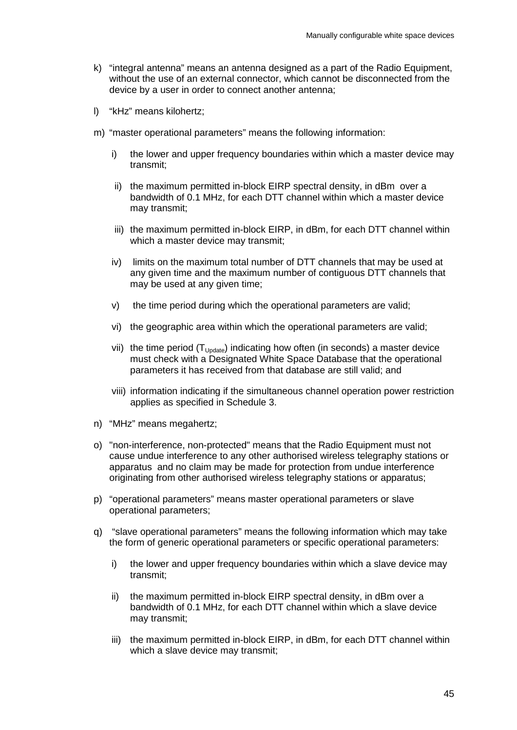- k) "integral antenna" means an antenna designed as a part of the Radio Equipment, without the use of an external connector, which cannot be disconnected from the device by a user in order to connect another antenna;
- l) "kHz" means kilohertz;
- m) "master operational parameters" means the following information:
	- i) the lower and upper frequency boundaries within which a master device may transmit;
	- ii) the maximum permitted in-block EIRP spectral density, in dBm over a bandwidth of 0.1 MHz, for each DTT channel within which a master device may transmit;
	- iii) the maximum permitted in-block EIRP, in dBm, for each DTT channel within which a master device may transmit;
	- iv) limits on the maximum total number of DTT channels that may be used at any given time and the maximum number of contiguous DTT channels that may be used at any given time;
	- v) the time period during which the operational parameters are valid;
	- vi) the geographic area within which the operational parameters are valid;
	- vii) the time period  $(T_{\text{Update}})$  indicating how often (in seconds) a master device must check with a Designated White Space Database that the operational parameters it has received from that database are still valid; and
	- viii) information indicating if the simultaneous channel operation power restriction applies as specified in Schedule 3.
- n) "MHz" means megahertz;
- o) "non-interference, non-protected" means that the Radio Equipment must not cause undue interference to any other authorised wireless telegraphy stations or apparatus and no claim may be made for protection from undue interference originating from other authorised wireless telegraphy stations or apparatus;
- p) "operational parameters" means master operational parameters or slave operational parameters;
- q) "slave operational parameters" means the following information which may take the form of generic operational parameters or specific operational parameters:
	- i) the lower and upper frequency boundaries within which a slave device may transmit;
	- ii) the maximum permitted in-block EIRP spectral density, in dBm over a bandwidth of 0.1 MHz, for each DTT channel within which a slave device may transmit;
	- iii) the maximum permitted in-block EIRP, in dBm, for each DTT channel within which a slave device may transmit;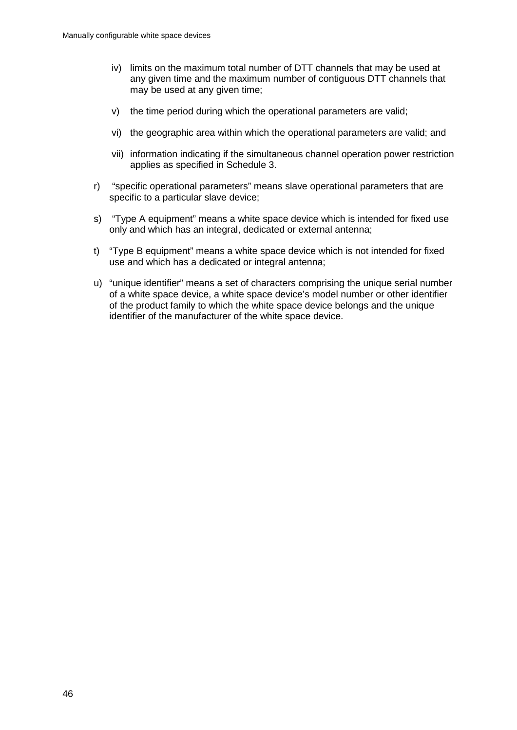- iv) limits on the maximum total number of DTT channels that may be used at any given time and the maximum number of contiguous DTT channels that may be used at any given time;
- v) the time period during which the operational parameters are valid;
- vi) the geographic area within which the operational parameters are valid; and
- vii) information indicating if the simultaneous channel operation power restriction applies as specified in Schedule 3.
- r) "specific operational parameters" means slave operational parameters that are specific to a particular slave device;
- s) "Type A equipment" means a white space device which is intended for fixed use only and which has an integral, dedicated or external antenna;
- t) "Type B equipment" means a white space device which is not intended for fixed use and which has a dedicated or integral antenna;
- u) "unique identifier" means a set of characters comprising the unique serial number of a white space device, a white space device's model number or other identifier of the product family to which the white space device belongs and the unique identifier of the manufacturer of the white space device.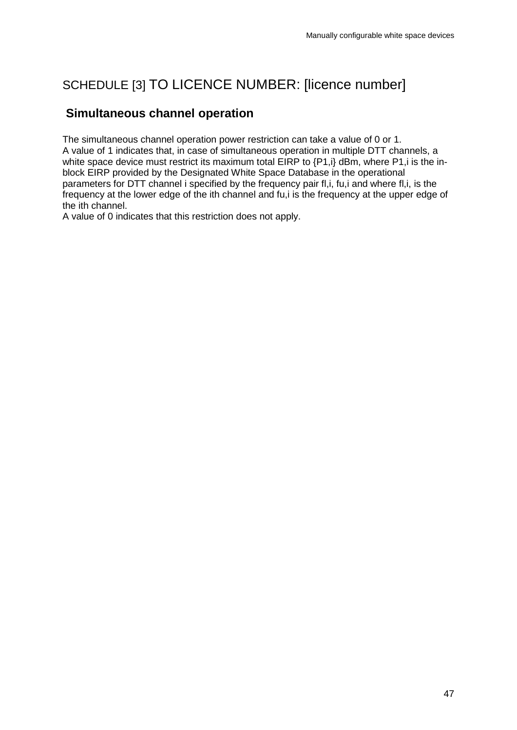# SCHEDULE [3] TO LICENCE NUMBER: [licence number]

## **Simultaneous channel operation**

The simultaneous channel operation power restriction can take a value of 0 or 1. A value of 1 indicates that, in case of simultaneous operation in multiple DTT channels, a white space device must restrict its maximum total EIRP to  $\{P1,i\}$  dBm, where P1, i is the inblock EIRP provided by the Designated White Space Database in the operational parameters for DTT channel i specified by the frequency pair fl,i, fu,i and where fl,i, is the frequency at the lower edge of the ith channel and fu,i is the frequency at the upper edge of the ith channel.

A value of 0 indicates that this restriction does not apply.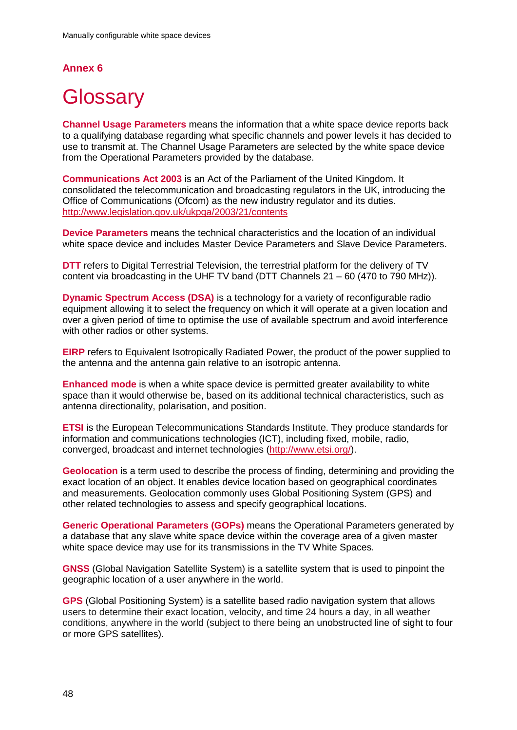## **Annex 6**

# <span id="page-50-0"></span>**Glossary**

**Channel Usage Parameters** means the information that a white space device reports back to a qualifying database regarding what specific channels and power levels it has decided to use to transmit at. The Channel Usage Parameters are selected by the white space device from the Operational Parameters provided by the database.

**Communications Act 2003** is an Act of the Parliament of the United Kingdom. It consolidated the telecommunication and broadcasting regulators in the UK, introducing the Office of Communications (Ofcom) as the new industry regulator and its duties. <http://www.legislation.gov.uk/ukpga/2003/21/contents>

**Device Parameters** means the technical characteristics and the location of an individual white space device and includes Master Device Parameters and Slave Device Parameters.

**DTT** refers to Digital Terrestrial Television, the terrestrial platform for the delivery of TV content via broadcasting in the UHF TV band (DTT Channels 21 – 60 (470 to 790 MHz)).

**Dynamic Spectrum Access (DSA)** is a technology for a variety of reconfigurable radio equipment allowing it to select the frequency on which it will operate at a given location and over a given period of time to optimise the use of available spectrum and avoid interference with other radios or other systems.

**EIRP** refers to Equivalent Isotropically Radiated Power, the product of the power supplied to the antenna and the antenna gain relative to an isotropic antenna.

**Enhanced mode** is when a white space device is permitted greater availability to white space than it would otherwise be, based on its additional technical characteristics, such as antenna directionality, polarisation, and position.

**ETSI** is the European Telecommunications Standards Institute. They produce standards for information and communications technologies (ICT), including fixed, mobile, radio, converged, broadcast and internet technologies [\(http://www.etsi.org/\)](http://www.etsi.org/).

**Geolocation** is a term used to describe the process of finding, determining and providing the exact location of an object. It enables device location based on geographical coordinates and measurements. Geolocation commonly [uses Global Positioning System](http://www.techopedia.com/definition/1935/geolocation) (GPS) and other related technologies to assess and specify geographical locations.

**Generic Operational Parameters (GOPs)** means the Operational Parameters generated by a database that any slave white space device within the coverage area of a given master white space device may use for its transmissions in the TV White Spaces.

**GNSS** (Global Navigation Satellite System) is a satellite system that is used to pinpoint the geographic location of a user anywhere in the world.

**GPS** (Global Positioning System) is a satellite based radio navigation system that allows users to determine their exact location, velocity, and time 24 hours a day, in all weather conditions, anywhere in the world (subject to there being an unobstructed line of sight to four or more GPS satellites).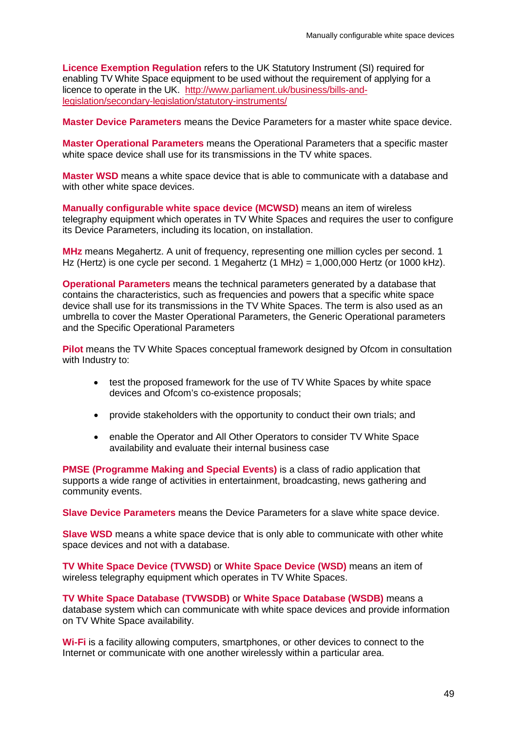**Licence Exemption Regulation** refers to the UK Statutory Instrument (SI) required for enabling TV White Space equipment to be used without the requirement of applying for a licence to operate in the UK. [http://www.parliament.uk/business/bills-and](http://www.parliament.uk/business/bills-and-legislation/secondary-legislation/statutory-instruments/)[legislation/secondary-legislation/statutory-instruments/](http://www.parliament.uk/business/bills-and-legislation/secondary-legislation/statutory-instruments/)

**Master Device Parameters** means the Device Parameters for a master white space device.

**Master Operational Parameters** means the Operational Parameters that a specific master white space device shall use for its transmissions in the TV white spaces.

**Master WSD** means a white space device that is able to communicate with a database and with other white space devices.

**Manually configurable white space device (MCWSD)** means an item of wireless telegraphy equipment which operates in TV White Spaces and requires the user to configure its Device Parameters, including its location, on installation.

**MHz** means Megahertz. A unit of frequency, representing one million cycles per second. 1 Hz (Hertz) is one cycle per second. 1 Megahertz (1 MHz) =  $1,000,000$  Hertz (or 1000 kHz).

**Operational Parameters** means the technical parameters generated by a database that contains the characteristics, such as frequencies and powers that a specific white space device shall use for its transmissions in the TV White Spaces. The term is also used as an umbrella to cover the Master Operational Parameters, the Generic Operational parameters and the Specific Operational Parameters

**Pilot** means the TV White Spaces conceptual framework designed by Ofcom in consultation with Industry to:

- test the proposed framework for the use of TV White Spaces by white space devices and Ofcom's co-existence proposals;
- provide stakeholders with the opportunity to conduct their own trials; and
- enable the Operator and All Other Operators to consider TV White Space availability and evaluate their internal business case

**PMSE (Programme Making and Special Events)** is a class of radio application that supports a wide range of activities in entertainment, broadcasting, news gathering and community events.

**Slave Device Parameters** means the Device Parameters for a slave white space device.

**Slave WSD** means a white space device that is only able to communicate with other white space devices and not with a database.

**TV White Space Device (TVWSD)** or **White Space Device (WSD)** means an item of wireless telegraphy equipment which operates in TV White Spaces.

**TV White Space Database (TVWSDB)** or **White Space Database (WSDB)** means a database system which can communicate with white space devices and provide information on TV White Space availability.

**Wi-Fi** is a facility allowing computers, smartphones, or other devices to connect to the Internet or communicate with one another wirelessly within a particular area.